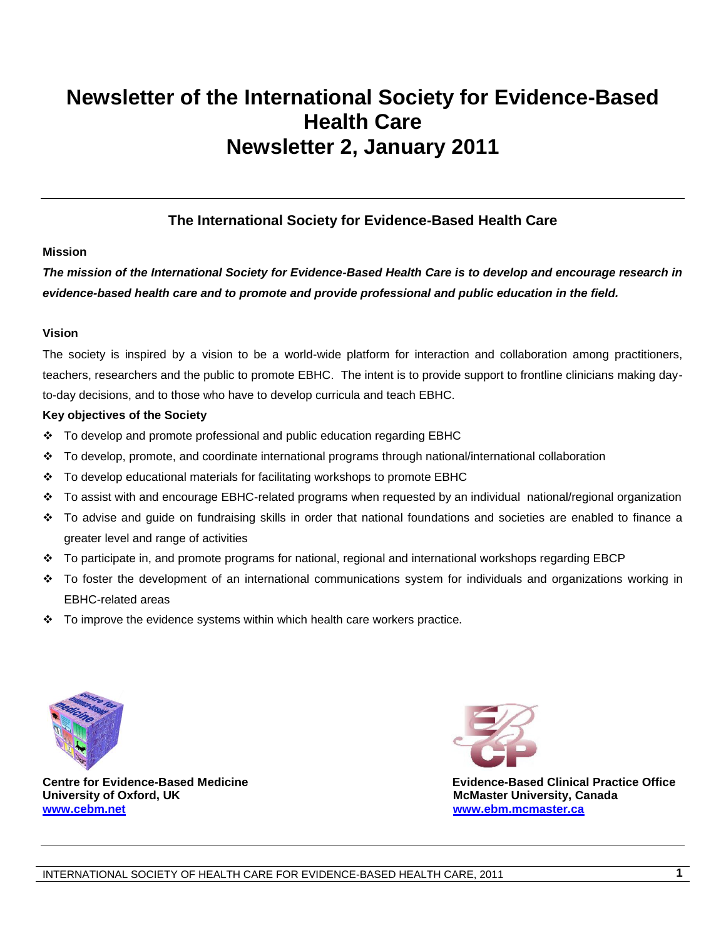# **Newsletter of the International Society for Evidence-Based Health Care Newsletter 2, January 2011**

### **The International Society for Evidence-Based Health Care**

#### **Mission**

*The mission of the International Society for Evidence-Based Health Care is to develop and encourage research in evidence-based health care and to promote and provide professional and public education in the field.*

#### **Vision**

The society is inspired by a vision to be a world-wide platform for interaction and collaboration among practitioners, teachers, researchers and the public to promote EBHC. The intent is to provide support to frontline clinicians making dayto-day decisions, and to those who have to develop curricula and teach EBHC.

#### **Key objectives of the Society**

- To develop and promote professional and public education regarding EBHC
- To develop, promote, and coordinate international programs through national/international collaboration
- $\div$  To develop educational materials for facilitating workshops to promote EBHC
- To assist with and encourage EBHC-related programs when requested by an individual national/regional organization
- To advise and guide on fundraising skills in order that national foundations and societies are enabled to finance a greater level and range of activities
- To participate in, and promote programs for national, regional and international workshops regarding EBCP
- To foster the development of an international communications system for individuals and organizations working in EBHC-related areas
- $\div$  To improve the evidence systems within which health care workers practice.



**University of Oxford, UK McMaster University, Canada [www.cebm.net](http://www.cebm.net/) [www.ebm.mcmaster.ca](http://www.ebm.mcmaster.ca/)**



**Centre for Evidence-Based Medicine Evidence-Based Clinical Practice Office**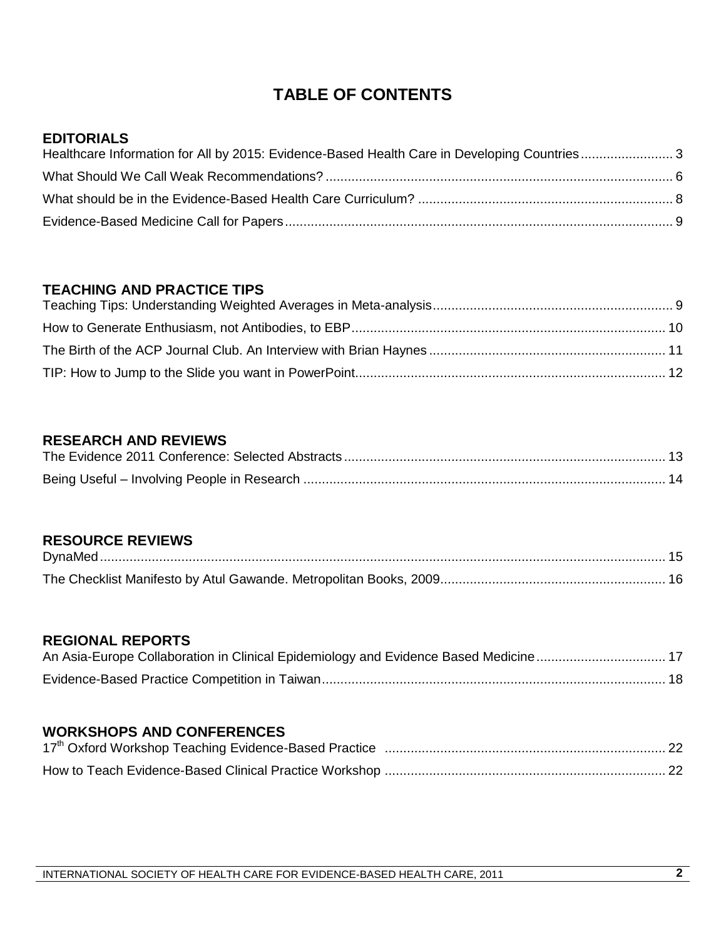## **TABLE OF CONTENTS**

### **EDITORIALS**

| Healthcare Information for All by 2015: Evidence-Based Health Care in Developing Countries3 |  |
|---------------------------------------------------------------------------------------------|--|
|                                                                                             |  |
|                                                                                             |  |
|                                                                                             |  |

### **TEACHING AND PRACTICE TIPS**

### **RESEARCH AND REVIEWS**

### **RESOURCE REVIEWS**

### **REGIONAL REPORTS**

| An Asia-Europe Collaboration in Clinical Epidemiology and Evidence Based Medicine 17 |  |
|--------------------------------------------------------------------------------------|--|
|                                                                                      |  |

## **WORKSHOPS AND CONFERENCES**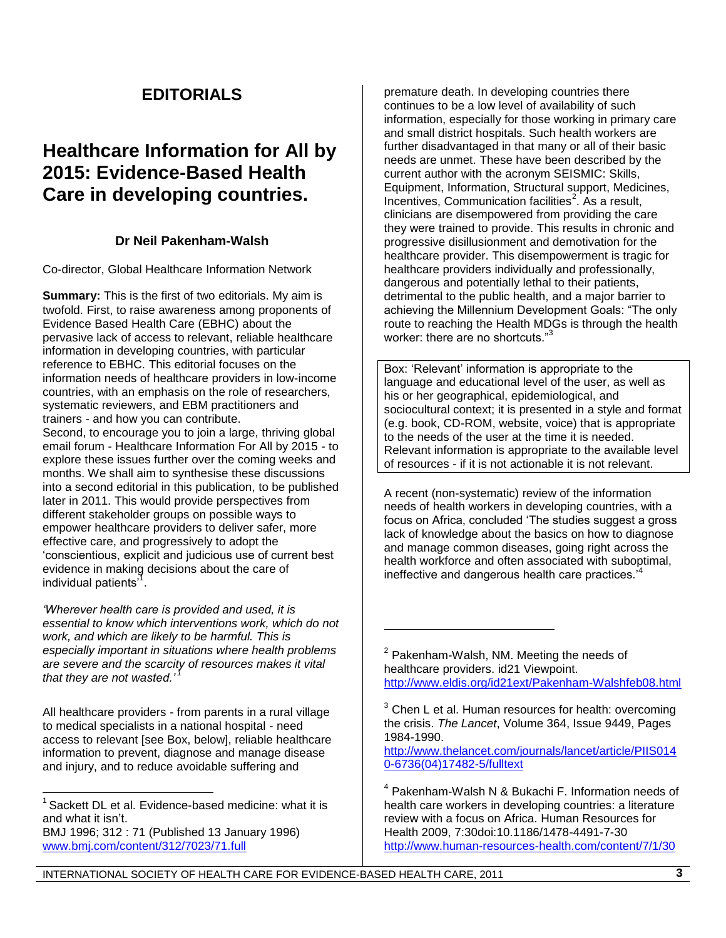## **EDITORIALS**

## **Healthcare Information for All by 2015: Evidence-Based Health Care in developing countries.**

### **Dr Neil Pakenham-Walsh**

Co-director, Global Healthcare Information Network

**Summary:** This is the first of two editorials. My aim is twofold. First, to raise awareness among proponents of Evidence Based Health Care (EBHC) about the pervasive lack of access to relevant, reliable healthcare information in developing countries, with particular reference to EBHC. This editorial focuses on the information needs of healthcare providers in low-income countries, with an emphasis on the role of researchers, systematic reviewers, and EBM practitioners and trainers - and how you can contribute. Second, to encourage you to join a large, thriving global email forum - Healthcare Information For All by 2015 - to explore these issues further over the coming weeks and months. We shall aim to synthesise these discussions into a second editorial in this publication, to be published later in 2011. This would provide perspectives from different stakeholder groups on possible ways to empower healthcare providers to deliver safer, more effective care, and progressively to adopt the "conscientious, explicit and judicious use of current best evidence in making decisions about the care of individual patients<sup>7</sup>.

*'Wherever health care is provided and used, it is essential to know which interventions work, which do not work, and which are likely to be harmful. This is especially important in situations where health problems are severe and the scarcity of resources makes it vital that they are not wasted.' <sup>1</sup>*

All healthcare providers - from parents in a rural village to medical specialists in a national hospital - need access to relevant [see Box, below], reliable healthcare information to prevent, diagnose and manage disease and injury, and to reduce avoidable suffering and

 1 Sackett DL et al. Evidence-based medicine: what it is and what it isn"t. BMJ 1996; 312 : 71 (Published 13 January 1996) [www.bmj.com/content/312/7023/71.full](http://www.bmj.com/content/312/7023/71.full)

premature death. In developing countries there continues to be a low level of availability of such information, especially for those working in primary care and small district hospitals. Such health workers are further disadvantaged in that many or all of their basic needs are unmet. These have been described by the current author with the acronym SEISMIC: Skills, Equipment, Information, Structural support, Medicines, Incentives, Communication facilities<sup>2</sup>. As a result, clinicians are disempowered from providing the care they were trained to provide. This results in chronic and progressive disillusionment and demotivation for the healthcare provider. This disempowerment is tragic for healthcare providers individually and professionally, dangerous and potentially lethal to their patients, detrimental to the public health, and a major barrier to achieving the Millennium Development Goals: "The only route to reaching the Health MDGs is through the health worker: there are no shortcuts."<sup>3</sup>

Box: "Relevant" information is appropriate to the language and educational level of the user, as well as his or her geographical, epidemiological, and sociocultural context; it is presented in a style and format (e.g. book, CD-ROM, website, voice) that is appropriate to the needs of the user at the time it is needed. Relevant information is appropriate to the available level of resources - if it is not actionable it is not relevant.

A recent (non-systematic) review of the information needs of health workers in developing countries, with a focus on Africa, concluded "The studies suggest a gross lack of knowledge about the basics on how to diagnose and manage common diseases, going right across the health workforce and often associated with suboptimal, ineffective and dangerous health care practices.<sup>4</sup>

 $\overline{a}$ 

[http://www.thelancet.com/journals/lancet/article/PIIS014](http://www.thelancet.com/journals/lancet/article/PIIS0140-6736(04)17482-5/fulltext) [0-6736\(04\)17482-5/fulltext](http://www.thelancet.com/journals/lancet/article/PIIS0140-6736(04)17482-5/fulltext)

 $2$  Pakenham-Walsh, NM. Meeting the needs of healthcare providers. id21 Viewpoint. <http://www.eldis.org/id21ext/Pakenham-Walshfeb08.html>

 $3$  Chen L et al. Human resources for health: overcoming the crisis. *The Lancet*, Volume 364, Issue 9449, Pages 1984-1990.

<sup>&</sup>lt;sup>4</sup> Pakenham-Walsh N & Bukachi F. Information needs of health care workers in developing countries: a literature review with a focus on Africa. Human Resources for Health 2009, 7:30doi:10.1186/1478-4491-7-30 <http://www.human-resources-health.com/content/7/1/30>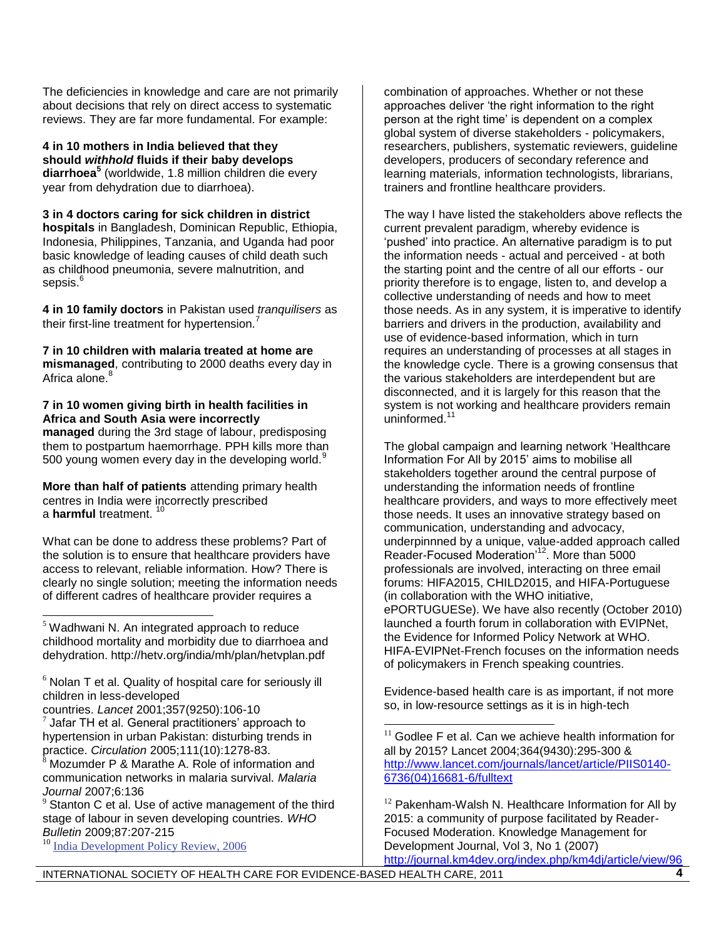The deficiencies in knowledge and care are not primarily about decisions that rely on direct access to systematic reviews. They are far more fundamental. For example:

**4 in 10 mothers in India believed that they should** *withhold* **fluids if their baby develops diarrhoea<sup>5</sup>** (worldwide, 1.8 million children die every year from dehydration due to diarrhoea).

**3 in 4 doctors caring for sick children in district hospitals** in Bangladesh, Dominican Republic, Ethiopia, Indonesia, Philippines, Tanzania, and Uganda had poor basic knowledge of leading causes of child death such as childhood pneumonia, severe malnutrition, and sepsis.<sup>6</sup>

**4 in 10 family doctors** in Pakistan used *tranquilisers* as their first-line treatment for hypertension.<sup>7</sup>

**7 in 10 children with malaria treated at home are mismanaged**, contributing to 2000 deaths every day in Africa alone.<sup>8</sup>

#### **7 in 10 women giving birth in health facilities in Africa and South Asia were incorrectly**

**managed** during the 3rd stage of labour, predisposing them to postpartum haemorrhage. PPH kills more than 500 young women every day in the developing world. $9$ 

**More than half of patients** attending primary health centres in India were incorrectly prescribed a **harmful** treatment. <sup>10</sup>

What can be done to address these problems? Part of the solution is to ensure that healthcare providers have access to relevant, reliable information. How? There is clearly no single solution; meeting the information needs of different cadres of healthcare provider requires a

countries. *Lancet* 2001;357(9250):106-10

 $\overline{a}$ 

 $7$  Jafar TH et al. General practitioners' approach to hypertension in urban Pakistan: disturbing trends in practice. *Circulation* 2005;111(10):1278-83.

 $8$  Mozumder P & Marathe A. Role of information and communication networks in malaria survival. *Malaria Journal* 2007;6:136

 $9$  Stanton C et al. Use of active management of the third stage of labour in seven developing countries. *WHO Bulletin* 2009;87:207-215

[India Development Policy Review, 2006](http://siteresources.worldbank.org/SOUTHASIAEXT/Resources/DPR_overview.pdf)

combination of approaches. Whether or not these approaches deliver "the right information to the right person at the right time' is dependent on a complex global system of diverse stakeholders - policymakers, researchers, publishers, systematic reviewers, guideline developers, producers of secondary reference and learning materials, information technologists, librarians, trainers and frontline healthcare providers.

The way I have listed the stakeholders above reflects the current prevalent paradigm, whereby evidence is "pushed" into practice. An alternative paradigm is to put the information needs - actual and perceived - at both the starting point and the centre of all our efforts - our priority therefore is to engage, listen to, and develop a collective understanding of needs and how to meet those needs. As in any system, it is imperative to identify barriers and drivers in the production, availability and use of evidence-based information, which in turn requires an understanding of processes at all stages in the knowledge cycle. There is a growing consensus that the various stakeholders are interdependent but are disconnected, and it is largely for this reason that the system is not working and healthcare providers remain uninformed.<sup>11</sup>

The global campaign and learning network "Healthcare Information For All by 2015" aims to mobilise all stakeholders together around the central purpose of understanding the information needs of frontline healthcare providers, and ways to more effectively meet those needs. It uses an innovative strategy based on communication, understanding and advocacy, underpinnned by a unique, value-added approach called Reader-Focused Moderation"<sup>12</sup>. More than 5000 professionals are involved, interacting on three email forums: HIFA2015, CHILD2015, and HIFA-Portuguese (in collaboration with the WHO initiative, ePORTUGUESe). We have also recently (October 2010) launched a fourth forum in collaboration with EVIPNet, the Evidence for Informed Policy Network at WHO. HIFA-EVIPNet-French focuses on the information needs of policymakers in French speaking countries.

Evidence-based health care is as important, if not more so, in low-resource settings as it is in high-tech

 $11$  Godlee F et al. Can we achieve health information for all by 2015? Lancet 2004;364(9430):295-300 & [http://www.lancet.com/journals/lancet/article/PIIS0140-](http://www.lancet.com/journals/lancet/article/PIIS0140-6736(04)16681-6/fulltext) [6736\(04\)16681-6/fulltext](http://www.lancet.com/journals/lancet/article/PIIS0140-6736(04)16681-6/fulltext)

 $12$  Pakenham-Walsh N. Healthcare Information for All by 2015: a community of purpose facilitated by Reader-Focused Moderation. Knowledge Management for Development Journal, Vol 3, No 1 (2007) <http://journal.km4dev.org/index.php/km4dj/article/view/96>

INTERNATIONAL SOCIETY OF HEALTH CARE FOR EVIDENCE-BASED HEALTH CARE, 2011 **4**

 $\overline{a}$ 

 $5$  Wadhwani N. An integrated approach to reduce childhood mortality and morbidity due to diarrhoea and dehydration. http://hetv.org/india/mh/plan/hetvplan.pdf

 $6$  Nolan T et al. Quality of hospital care for seriously ill children in less-developed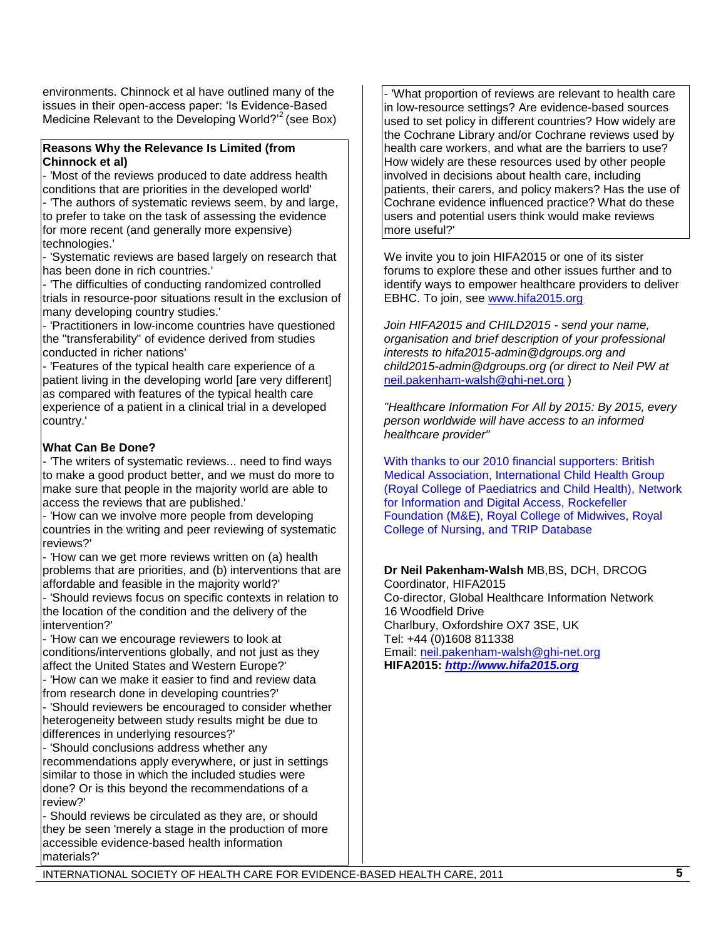environments. Chinnock et al have outlined many of the issues in their open-access paper: "Is Evidence-Based Medicine Relevant to the Developing World? $2^2$  (see Box)

#### **Reasons Why the Relevance Is Limited (from Chinnock et al)**

- 'Most of the reviews produced to date address health conditions that are priorities in the developed world' - 'The authors of systematic reviews seem, by and large, to prefer to take on the task of assessing the evidence for more recent (and generally more expensive) technologies.'

- 'Systematic reviews are based largely on research that has been done in rich countries.'

- 'The difficulties of conducting randomized controlled trials in resource-poor situations result in the exclusion of many developing country studies.'

- 'Practitioners in low-income countries have questioned the "transferability" of evidence derived from studies conducted in richer nations'

- 'Features of the typical health care experience of a patient living in the developing world [are very different] as compared with features of the typical health care experience of a patient in a clinical trial in a developed country.'

#### **What Can Be Done?**

- 'The writers of systematic reviews... need to find ways to make a good product better, and we must do more to make sure that people in the majority world are able to access the reviews that are published.'

- 'How can we involve more people from developing countries in the writing and peer reviewing of systematic reviews?'

- 'How can we get more reviews written on (a) health problems that are priorities, and (b) interventions that are affordable and feasible in the majority world?'

- 'Should reviews focus on specific contexts in relation to the location of the condition and the delivery of the intervention?'

- 'How can we encourage reviewers to look at conditions/interventions globally, and not just as they affect the United States and Western Europe?'

- 'How can we make it easier to find and review data from research done in developing countries?'

- 'Should reviewers be encouraged to consider whether heterogeneity between study results might be due to differences in underlying resources?'

- 'Should conclusions address whether any recommendations apply everywhere, or just in settings similar to those in which the included studies were done? Or is this beyond the recommendations of a review?'

- Should reviews be circulated as they are, or should they be seen 'merely a stage in the production of more accessible evidence-based health information materials?'

- 'What proportion of reviews are relevant to health care in low-resource settings? Are evidence-based sources used to set policy in different countries? How widely are the Cochrane Library and/or Cochrane reviews used by health care workers, and what are the barriers to use? How widely are these resources used by other people involved in decisions about health care, including patients, their carers, and policy makers? Has the use of Cochrane evidence influenced practice? What do these users and potential users think would make reviews more useful?'

We invite you to join HIFA2015 or one of its sister forums to explore these and other issues further and to identify ways to empower healthcare providers to deliver EBHC. To join, see [www.hifa2015.org](http://www.hifa2015.org/)

*Join HIFA2015 and CHILD2015 - send your name, organisation and brief description of your professional interests to hifa2015-admin@dgroups.org and child2015-admin@dgroups.org (or direct to Neil PW at*  [neil.pakenham-walsh@ghi-net.org](mailto:neil.pakenham-walsh@ghi-net.org) )

*"Healthcare Information For All by 2015: By 2015, every person worldwide will have access to an informed healthcare provider"*

With thanks to our 2010 financial supporters: British Medical Association, International Child Health Group (Royal College of Paediatrics and Child Health), Network for Information and Digital Access, Rockefeller Foundation (M&E), Royal College of Midwives, Royal College of Nursing, and TRIP Database

### **Dr Neil Pakenham-Walsh** MB,BS, DCH, DRCOG

Coordinator, HIFA2015 Co-director, Global Healthcare Information Network 16 Woodfield Drive Charlbury, Oxfordshire OX7 3SE, UK Tel: +44 (0)1608 811338 Email: [neil.pakenham-walsh@ghi-net.org](mailto:neil.pakenham-walsh@ghi-net.org) **HIFA2015:** *[http://www.hifa2015.org](http://www.hifa2015.org/)*

INTERNATIONAL SOCIETY OF HEALTH CARE FOR EVIDENCE-BASED HEALTH CARE, 2011 **5**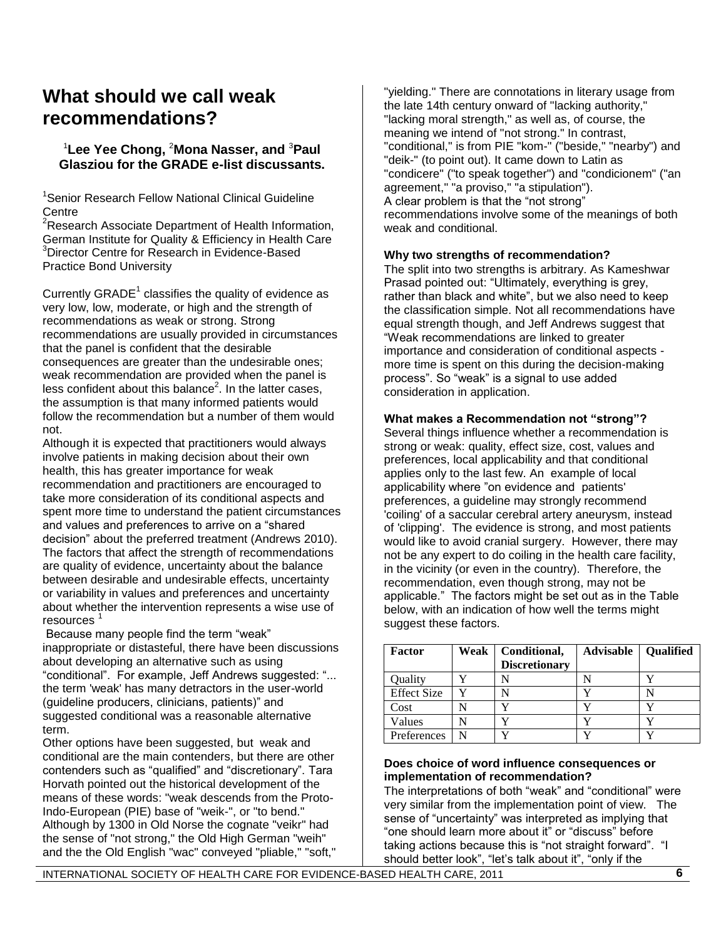## **What should we call weak recommendations?**

### <sup>1</sup>**Lee Yee Chong,** <sup>2</sup>**Mona Nasser, and** <sup>3</sup>**Paul Glasziou for the GRADE e-list discussants.**

<sup>1</sup>Senior Research Fellow National Clinical Guideline **Centre** 

<sup>2</sup>Research Associate Department of Health Information, German Institute for Quality & Efficiency in Health Care  $3$ Director Centre for Research in Evidence-Based Practice Bond University

Currently  $\mathsf{GRADE}^1$  classifies the quality of evidence as very low, low, moderate, or high and the strength of recommendations as weak or strong. Strong recommendations are usually provided in circumstances that the panel is confident that the desirable consequences are greater than the undesirable ones; weak recommendation are provided when the panel is less confident about this balance<sup>2</sup>. In the latter cases, the assumption is that many informed patients would follow the recommendation but a number of them would not.

Although it is expected that practitioners would always involve patients in making decision about their own health, this has greater importance for weak recommendation and practitioners are encouraged to take more consideration of its conditional aspects and spent more time to understand the patient circumstances and values and preferences to arrive on a "shared decision" about the preferred treatment (Andrews 2010). The factors that affect the strength of recommendations are quality of evidence, uncertainty about the balance between desirable and undesirable effects, uncertainty or variability in values and preferences and uncertainty about whether the intervention represents a wise use of resources<sup>1</sup>

Because many people find the term "weak" inappropriate or distasteful, there have been discussions about developing an alternative such as using "conditional". For example, Jeff Andrews suggested: "... the term 'weak' has many detractors in the user-world (guideline producers, clinicians, patients)" and suggested conditional was a reasonable alternative term.

Other options have been suggested, but weak and conditional are the main contenders, but there are other contenders such as "qualified" and "discretionary". Tara Horvath pointed out the historical development of the means of these words: "weak descends from the Proto-Indo-European (PIE) base of "weik-", or "to bend." Although by 1300 in Old Norse the cognate "veikr" had the sense of "not strong," the Old High German "weih" and the the Old English "wac" conveyed "pliable," "soft,"

"yielding." There are connotations in literary usage from the late 14th century onward of "lacking authority," "lacking moral strength," as well as, of course, the meaning we intend of "not strong." In contrast, "conditional," is from PIE "kom-" ("beside," "nearby") and "deik-" (to point out). It came down to Latin as "condicere" ("to speak together") and "condicionem" ("an agreement," a proviso," "a stipulation"). A clear problem is that the "not strong" recommendations involve some of the meanings of both weak and conditional.

#### **Why two strengths of recommendation?**

The split into two strengths is arbitrary. As Kameshwar Prasad pointed out: "Ultimately, everything is grey, rather than black and white", but we also need to keep the classification simple. Not all recommendations have equal strength though, and Jeff Andrews suggest that "Weak recommendations are linked to greater importance and consideration of conditional aspects more time is spent on this during the decision-making process". So "weak" is a signal to use added consideration in application.

#### **What makes a Recommendation not "strong"?**

Several things influence whether a recommendation is strong or weak: quality, effect size, cost, values and preferences, local applicability and that conditional applies only to the last few. An example of local applicability where "on evidence and patients' preferences, a guideline may strongly recommend 'coiling' of a saccular cerebral artery aneurysm, instead of 'clipping'. The evidence is strong, and most patients would like to avoid cranial surgery. However, there may not be any expert to do coiling in the health care facility, in the vicinity (or even in the country). Therefore, the recommendation, even though strong, may not be applicable." The factors might be set out as in the Table below, with an indication of how well the terms might suggest these factors.

| Factor             | Weak | Conditional,<br><b>Discretionary</b> | <b>Advisable</b> | <b>Oualified</b> |
|--------------------|------|--------------------------------------|------------------|------------------|
| Quality            |      |                                      |                  |                  |
| <b>Effect Size</b> |      |                                      |                  |                  |
| Cost               |      |                                      |                  |                  |
| Values             |      |                                      |                  |                  |
| Preferences        |      |                                      |                  |                  |

#### **Does choice of word influence consequences or implementation of recommendation?**

The interpretations of both "weak" and "conditional" were very similar from the implementation point of view. The sense of "uncertainty" was interpreted as implying that "one should learn more about it" or "discuss" before taking actions because this is "not straight forward". "I should better look", "let"s talk about it", "only if the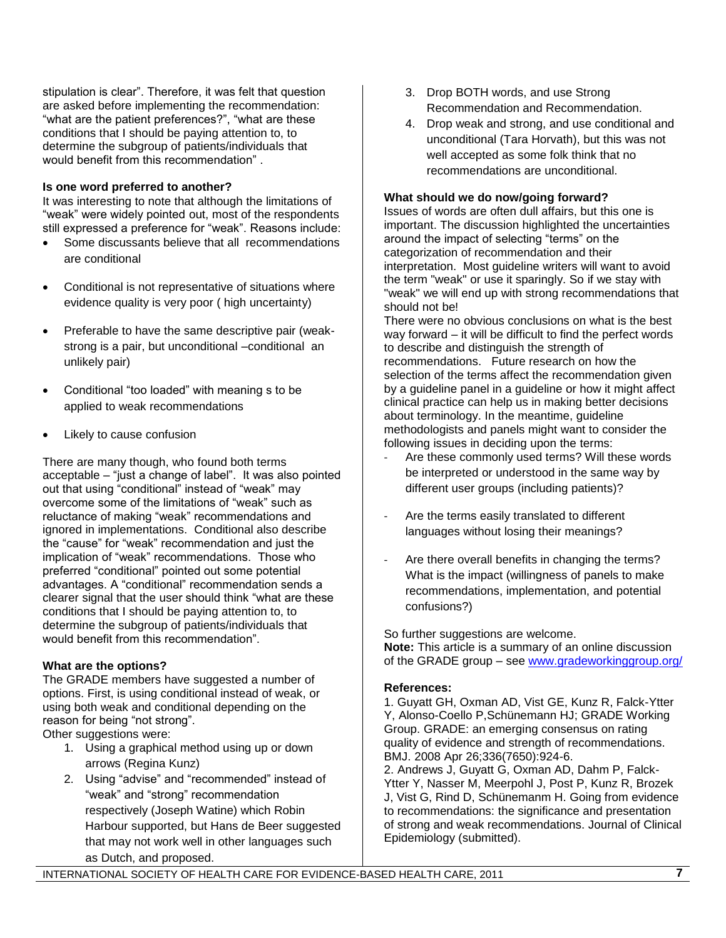stipulation is clear". Therefore, it was felt that question are asked before implementing the recommendation: "what are the patient preferences?", "what are these conditions that I should be paying attention to, to determine the subgroup of patients/individuals that would benefit from this recommendation" .

#### **Is one word preferred to another?**

It was interesting to note that although the limitations of "weak" were widely pointed out, most of the respondents still expressed a preference for "weak". Reasons include:

- Some discussants believe that all recommendations are conditional
- Conditional is not representative of situations where evidence quality is very poor ( high uncertainty)
- Preferable to have the same descriptive pair (weakstrong is a pair, but unconditional –conditional an unlikely pair)
- Conditional "too loaded" with meaning s to be applied to weak recommendations
- Likely to cause confusion

There are many though, who found both terms acceptable – "just a change of label". It was also pointed out that using "conditional" instead of "weak" may overcome some of the limitations of "weak" such as reluctance of making "weak" recommendations and ignored in implementations. Conditional also describe the "cause" for "weak" recommendation and just the implication of "weak" recommendations. Those who preferred "conditional" pointed out some potential advantages. A "conditional" recommendation sends a clearer signal that the user should think "what are these conditions that I should be paying attention to, to determine the subgroup of patients/individuals that would benefit from this recommendation".

#### **What are the options?**

The GRADE members have suggested a number of options. First, is using conditional instead of weak, or using both weak and conditional depending on the reason for being "not strong".

Other suggestions were:

- 1. Using a graphical method using up or down arrows (Regina Kunz)
- 2. Using "advise" and "recommended" instead of "weak" and "strong" recommendation respectively (Joseph Watine) which Robin Harbour supported, but Hans de Beer suggested that may not work well in other languages such as Dutch, and proposed.
- 3. Drop BOTH words, and use Strong Recommendation and Recommendation.
- 4. Drop weak and strong, and use conditional and unconditional (Tara Horvath), but this was not well accepted as some folk think that no recommendations are unconditional.

#### **What should we do now/going forward?**

Issues of words are often dull affairs, but this one is important. The discussion highlighted the uncertainties around the impact of selecting "terms" on the categorization of recommendation and their interpretation. Most guideline writers will want to avoid the term "weak" or use it sparingly. So if we stay with "weak" we will end up with strong recommendations that should not be!

There were no obvious conclusions on what is the best way forward – it will be difficult to find the perfect words to describe and distinguish the strength of recommendations. Future research on how the selection of the terms affect the recommendation given by a guideline panel in a guideline or how it might affect clinical practice can help us in making better decisions about terminology. In the meantime, guideline methodologists and panels might want to consider the following issues in deciding upon the terms:

- Are these commonly used terms? Will these words be interpreted or understood in the same way by different user groups (including patients)?
- Are the terms easily translated to different languages without losing their meanings?
- Are there overall benefits in changing the terms? What is the impact (willingness of panels to make recommendations, implementation, and potential confusions?)

So further suggestions are welcome. **Note:** This article is a summary of an online discussion of the GRADE group – se[e www.gradeworkinggroup.org/](http://www.gradeworkinggroup.org/)

#### **References:**

1. Guyatt GH, Oxman AD, Vist GE, Kunz R, Falck-Ytter Y, Alonso-Coello P,Schünemann HJ; GRADE Working Group. GRADE: an emerging consensus on rating quality of evidence and strength of recommendations. BMJ. 2008 Apr 26;336(7650):924-6.

2. Andrews J, Guyatt G, Oxman AD, Dahm P, Falck-Ytter Y, Nasser M, Meerpohl J, Post P, Kunz R, Brozek J, Vist G, Rind D, Schünemanm H. Going from evidence to recommendations: the significance and presentation of strong and weak recommendations. Journal of Clinical Epidemiology (submitted).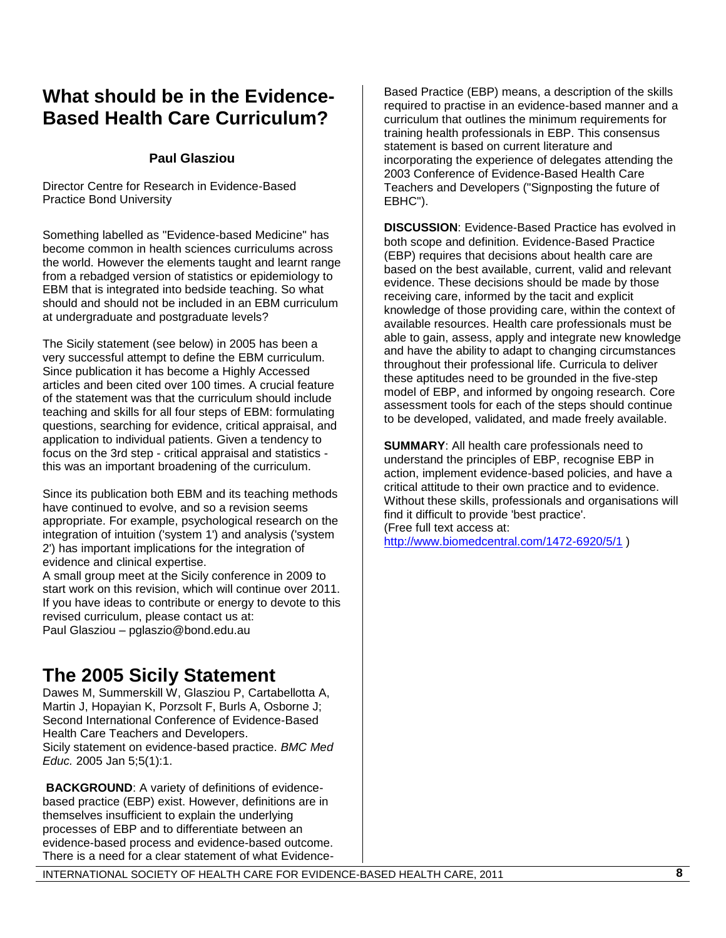## **What should be in the Evidence-Based Health Care Curriculum?**

### **Paul Glasziou**

Director Centre for Research in Evidence-Based Practice Bond University

Something labelled as "Evidence-based Medicine" has become common in health sciences curriculums across the world. However the elements taught and learnt range from a rebadged version of statistics or epidemiology to EBM that is integrated into bedside teaching. So what should and should not be included in an EBM curriculum at undergraduate and postgraduate levels?

The Sicily statement (see below) in 2005 has been a very successful attempt to define the EBM curriculum. Since publication it has become a Highly Accessed articles and been cited over 100 times. A crucial feature of the statement was that the curriculum should include teaching and skills for all four steps of EBM: formulating questions, searching for evidence, critical appraisal, and application to individual patients. Given a tendency to focus on the 3rd step - critical appraisal and statistics this was an important broadening of the curriculum.

Since its publication both EBM and its teaching methods have continued to evolve, and so a revision seems appropriate. For example, psychological research on the integration of intuition ('system 1') and analysis ('system 2') has important implications for the integration of evidence and clinical expertise.

A small group meet at the Sicily conference in 2009 to start work on this revision, which will continue over 2011. If you have ideas to contribute or energy to devote to this revised curriculum, please contact us at:

Paul Glasziou – pglaszio@bond.edu.au

## **The 2005 Sicily Statement**

Dawes M, Summerskill W, Glasziou P, Cartabellotta A, Martin J, Hopayian K, Porzsolt F, Burls A, Osborne J; Second International Conference of Evidence-Based Health Care Teachers and Developers. Sicily statement on evidence-based practice. *BMC Med Educ.* 2005 Jan 5;5(1):1.

**BACKGROUND**: A variety of definitions of evidencebased practice (EBP) exist. However, definitions are in themselves insufficient to explain the underlying processes of EBP and to differentiate between an evidence-based process and evidence-based outcome. There is a need for a clear statement of what EvidenceBased Practice (EBP) means, a description of the skills required to practise in an evidence-based manner and a curriculum that outlines the minimum requirements for training health professionals in EBP. This consensus statement is based on current literature and incorporating the experience of delegates attending the 2003 Conference of Evidence-Based Health Care Teachers and Developers ("Signposting the future of EBHC").

**DISCUSSION**: Evidence-Based Practice has evolved in both scope and definition. Evidence-Based Practice (EBP) requires that decisions about health care are based on the best available, current, valid and relevant evidence. These decisions should be made by those receiving care, informed by the tacit and explicit knowledge of those providing care, within the context of available resources. Health care professionals must be able to gain, assess, apply and integrate new knowledge and have the ability to adapt to changing circumstances throughout their professional life. Curricula to deliver these aptitudes need to be grounded in the five-step model of EBP, and informed by ongoing research. Core assessment tools for each of the steps should continue to be developed, validated, and made freely available.

**SUMMARY**: All health care professionals need to understand the principles of EBP, recognise EBP in action, implement evidence-based policies, and have a critical attitude to their own practice and to evidence. Without these skills, professionals and organisations will find it difficult to provide 'best practice'. (Free full text access at:

<http://www.biomedcentral.com/1472-6920/5/1> )

INTERNATIONAL SOCIETY OF HEALTH CARE FOR EVIDENCE-BASED HEALTH CARE, 2011 **8**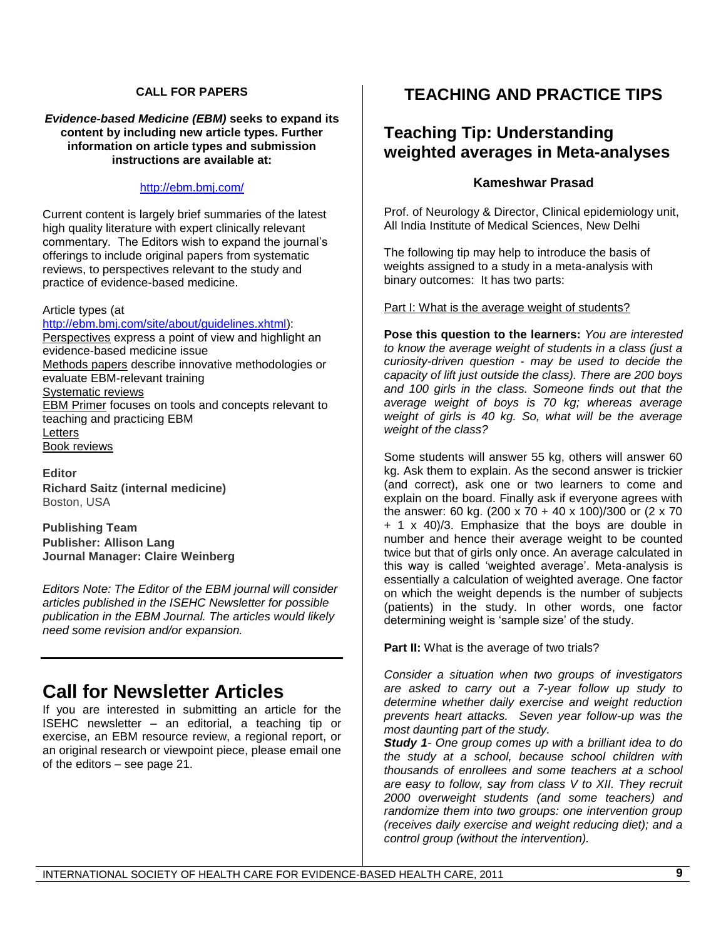#### **CALL FOR PAPERS**

#### *Evidence-based Medicine (EBM)* **seeks to expand its content by including new article types. Further information on article types and submission instructions are available at:**

#### <http://ebm.bmj.com/>

Current content is largely brief summaries of the latest high quality literature with expert clinically relevant commentary. The Editors wish to expand the journal"s offerings to include original papers from systematic reviews, to perspectives relevant to the study and practice of evidence-based medicine.

#### Article types (at

[http://ebm.bmj.com/site/about/guidelines.xhtml\)](http://ebm.bmj.com/site/about/guidelines.xhtml): Perspectives express a point of view and highlight an evidence-based medicine issue Methods papers describe innovative methodologies or evaluate EBM-relevant training Systematic reviews EBM Primer focuses on tools and concepts relevant to teaching and practicing EBM Letters Book reviews

**Editor Richard Saitz (internal medicine)** Boston, USA

**Publishing Team Publisher: Allison Lang Journal Manager: Claire Weinberg**

*Editors Note: The Editor of the EBM journal will consider articles published in the ISEHC Newsletter for possible publication in the EBM Journal. The articles would likely need some revision and/or expansion.*

## **Call for Newsletter Articles**

If you are interested in submitting an article for the ISEHC newsletter – an editorial, a teaching tip or exercise, an EBM resource review, a regional report, or an original research or viewpoint piece, please email one of the editors – see page 21.

## **TEACHING AND PRACTICE TIPS**

## **Teaching Tip: Understanding weighted averages in Meta-analyses**

#### **Kameshwar Prasad**

Prof. of Neurology & Director, Clinical epidemiology unit, All India Institute of Medical Sciences, New Delhi

The following tip may help to introduce the basis of weights assigned to a study in a meta-analysis with binary outcomes: It has two parts:

Part I: What is the average weight of students?

**Pose this question to the learners:** *You are interested to know the average weight of students in a class (just a curiosity-driven question - may be used to decide the capacity of lift just outside the class). There are 200 boys and 100 girls in the class. Someone finds out that the average weight of boys is 70 kg; whereas average weight of girls is 40 kg. So, what will be the average weight of the class?*

Some students will answer 55 kg, others will answer 60 kg. Ask them to explain. As the second answer is trickier (and correct), ask one or two learners to come and explain on the board. Finally ask if everyone agrees with the answer: 60 kg. (200 x 70 + 40 x 100)/300 or (2 x 70 + 1 x 40)/3. Emphasize that the boys are double in number and hence their average weight to be counted twice but that of girls only once. An average calculated in this way is called "weighted average". Meta-analysis is essentially a calculation of weighted average. One factor on which the weight depends is the number of subjects (patients) in the study. In other words, one factor determining weight is 'sample size' of the study.

**Part II:** What is the average of two trials?

*Consider a situation when two groups of investigators are asked to carry out a 7-year follow up study to determine whether daily exercise and weight reduction prevents heart attacks. Seven year follow-up was the most daunting part of the study.*

*Study 1- One group comes up with a brilliant idea to do the study at a school, because school children with thousands of enrollees and some teachers at a school are easy to follow, say from class V to XII. They recruit 2000 overweight students (and some teachers) and randomize them into two groups: one intervention group (receives daily exercise and weight reducing diet); and a control group (without the intervention).*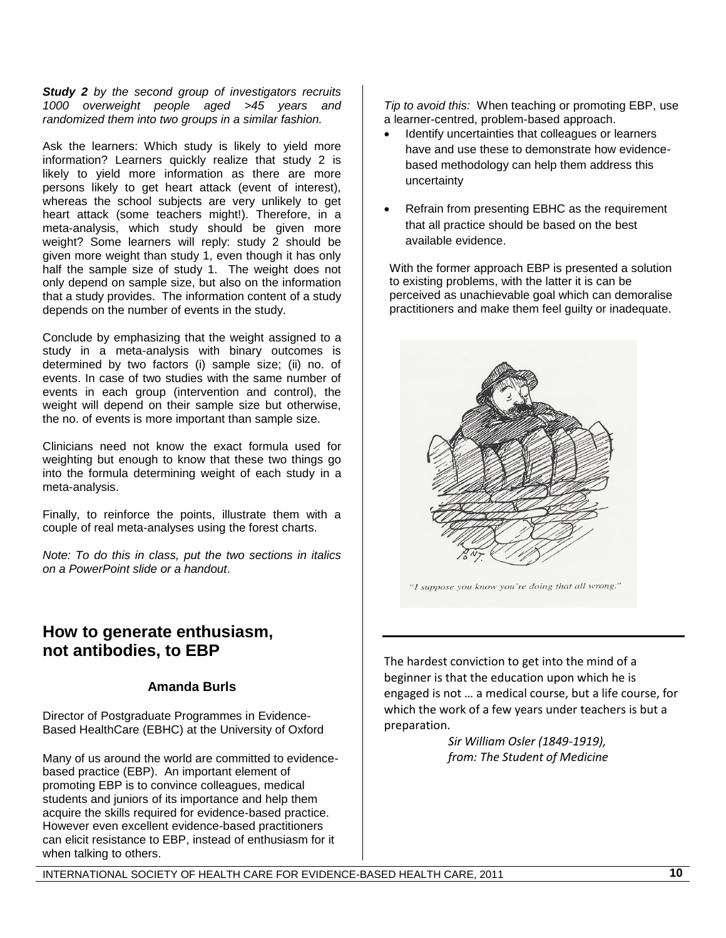*Study 2 by the second group of investigators recruits 1000 overweight people aged >45 years and randomized them into two groups in a similar fashion.* 

Ask the learners: Which study is likely to yield more information? Learners quickly realize that study 2 is likely to yield more information as there are more persons likely to get heart attack (event of interest), whereas the school subjects are very unlikely to get heart attack (some teachers might!). Therefore, in a meta-analysis, which study should be given more weight? Some learners will reply: study 2 should be given more weight than study 1, even though it has only half the sample size of study 1. The weight does not only depend on sample size, but also on the information that a study provides. The information content of a study depends on the number of events in the study.

Conclude by emphasizing that the weight assigned to a study in a meta-analysis with binary outcomes is determined by two factors (i) sample size; (ii) no. of events. In case of two studies with the same number of events in each group (intervention and control), the weight will depend on their sample size but otherwise, the no. of events is more important than sample size.

Clinicians need not know the exact formula used for weighting but enough to know that these two things go into the formula determining weight of each study in a meta-analysis.

Finally, to reinforce the points, illustrate them with a couple of real meta-analyses using the forest charts.

*Note: To do this in class, put the two sections in italics on a PowerPoint slide or a handout*.

## **How to generate enthusiasm, not antibodies, to EBP**

#### **Amanda Burls**

Director of Postgraduate Programmes in Evidence-Based HealthCare (EBHC) at the University of Oxford

Many of us around the world are committed to evidencebased practice (EBP). An important element of promoting EBP is to convince colleagues, medical students and juniors of its importance and help them acquire the skills required for evidence-based practice. However even excellent evidence-based practitioners can elicit resistance to EBP, instead of enthusiasm for it when talking to others.

*Tip to avoid this:* When teaching or promoting EBP, use a learner-centred, problem-based approach.

- Identify uncertainties that colleagues or learners have and use these to demonstrate how evidencebased methodology can help them address this uncertainty
- Refrain from presenting EBHC as the requirement that all practice should be based on the best available evidence.

With the former approach EBP is presented a solution to existing problems, with the latter it is can be perceived as unachievable goal which can demoralise practitioners and make them feel guilty or inadequate.



"I suppose you know you're doing that all wrong."

The hardest conviction to get into the mind of a beginner is that the education upon which he is engaged is not … a medical course, but a life course, for which the work of a few years under teachers is but a preparation.

> *Sir William Osler (1849-1919), from: The Student of Medicine*

INTERNATIONAL SOCIETY OF HEALTH CARE FOR EVIDENCE-BASED HEALTH CARE, 2011 **10**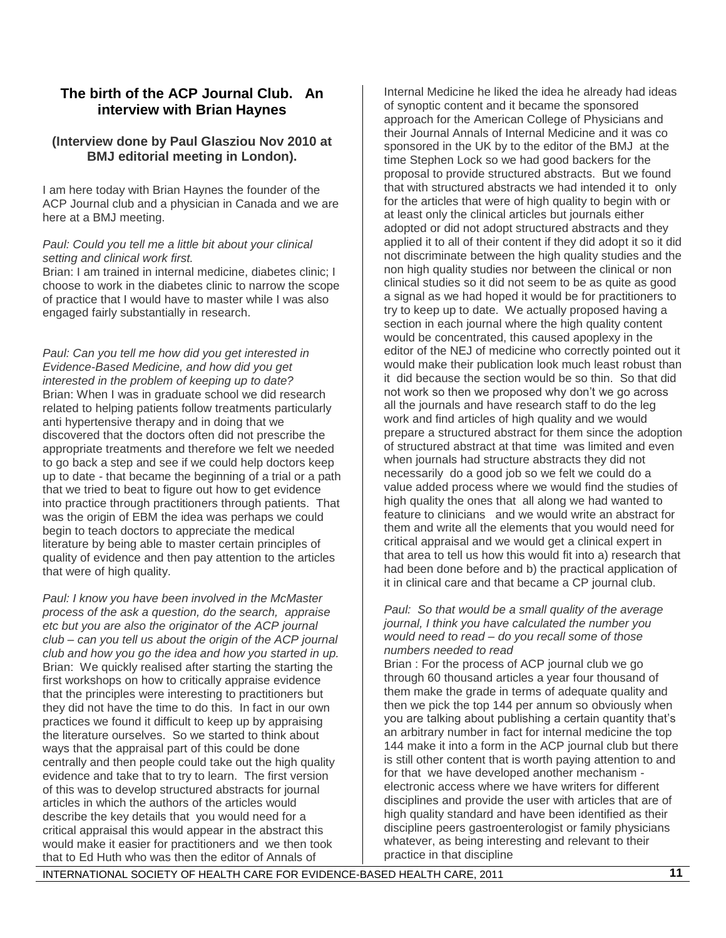### **The birth of the ACP Journal Club. An interview with Brian Haynes**

#### **(Interview done by Paul Glasziou Nov 2010 at BMJ editorial meeting in London).**

I am here today with Brian Haynes the founder of the ACP Journal club and a physician in Canada and we are here at a BMJ meeting.

#### *Paul: Could you tell me a little bit about your clinical setting and clinical work first.*

Brian: I am trained in internal medicine, diabetes clinic; I choose to work in the diabetes clinic to narrow the scope of practice that I would have to master while I was also engaged fairly substantially in research.

*Paul: Can you tell me how did you get interested in Evidence-Based Medicine, and how did you get interested in the problem of keeping up to date?* Brian: When I was in graduate school we did research related to helping patients follow treatments particularly anti hypertensive therapy and in doing that we discovered that the doctors often did not prescribe the appropriate treatments and therefore we felt we needed to go back a step and see if we could help doctors keep up to date - that became the beginning of a trial or a path that we tried to beat to figure out how to get evidence into practice through practitioners through patients. That was the origin of EBM the idea was perhaps we could begin to teach doctors to appreciate the medical literature by being able to master certain principles of quality of evidence and then pay attention to the articles that were of high quality.

*Paul: I know you have been involved in the McMaster process of the ask a question, do the search, appraise etc but you are also the originator of the ACP journal club – can you tell us about the origin of the ACP journal club and how you go the idea and how you started in up.* Brian: We quickly realised after starting the starting the first workshops on how to critically appraise evidence that the principles were interesting to practitioners but they did not have the time to do this. In fact in our own practices we found it difficult to keep up by appraising the literature ourselves. So we started to think about ways that the appraisal part of this could be done centrally and then people could take out the high quality evidence and take that to try to learn. The first version of this was to develop structured abstracts for journal articles in which the authors of the articles would describe the key details that you would need for a critical appraisal this would appear in the abstract this would make it easier for practitioners and we then took that to Ed Huth who was then the editor of Annals of

Internal Medicine he liked the idea he already had ideas of synoptic content and it became the sponsored approach for the American College of Physicians and their Journal Annals of Internal Medicine and it was co sponsored in the UK by to the editor of the BMJ at the time Stephen Lock so we had good backers for the proposal to provide structured abstracts. But we found that with structured abstracts we had intended it to only for the articles that were of high quality to begin with or at least only the clinical articles but journals either adopted or did not adopt structured abstracts and they applied it to all of their content if they did adopt it so it did not discriminate between the high quality studies and the non high quality studies nor between the clinical or non clinical studies so it did not seem to be as quite as good a signal as we had hoped it would be for practitioners to try to keep up to date. We actually proposed having a section in each journal where the high quality content would be concentrated, this caused apoplexy in the editor of the NEJ of medicine who correctly pointed out it would make their publication look much least robust than it did because the section would be so thin. So that did not work so then we proposed why don"t we go across all the journals and have research staff to do the leg work and find articles of high quality and we would prepare a structured abstract for them since the adoption of structured abstract at that time was limited and even when journals had structure abstracts they did not necessarily do a good job so we felt we could do a value added process where we would find the studies of high quality the ones that all along we had wanted to feature to clinicians and we would write an abstract for them and write all the elements that you would need for critical appraisal and we would get a clinical expert in that area to tell us how this would fit into a) research that had been done before and b) the practical application of it in clinical care and that became a CP journal club.

#### *Paul: So that would be a small quality of the average journal, I think you have calculated the number you would need to read – do you recall some of those numbers needed to read*

Brian : For the process of ACP journal club we go through 60 thousand articles a year four thousand of them make the grade in terms of adequate quality and then we pick the top 144 per annum so obviously when you are talking about publishing a certain quantity that"s an arbitrary number in fact for internal medicine the top 144 make it into a form in the ACP journal club but there is still other content that is worth paying attention to and for that we have developed another mechanism electronic access where we have writers for different disciplines and provide the user with articles that are of high quality standard and have been identified as their discipline peers gastroenterologist or family physicians whatever, as being interesting and relevant to their practice in that discipline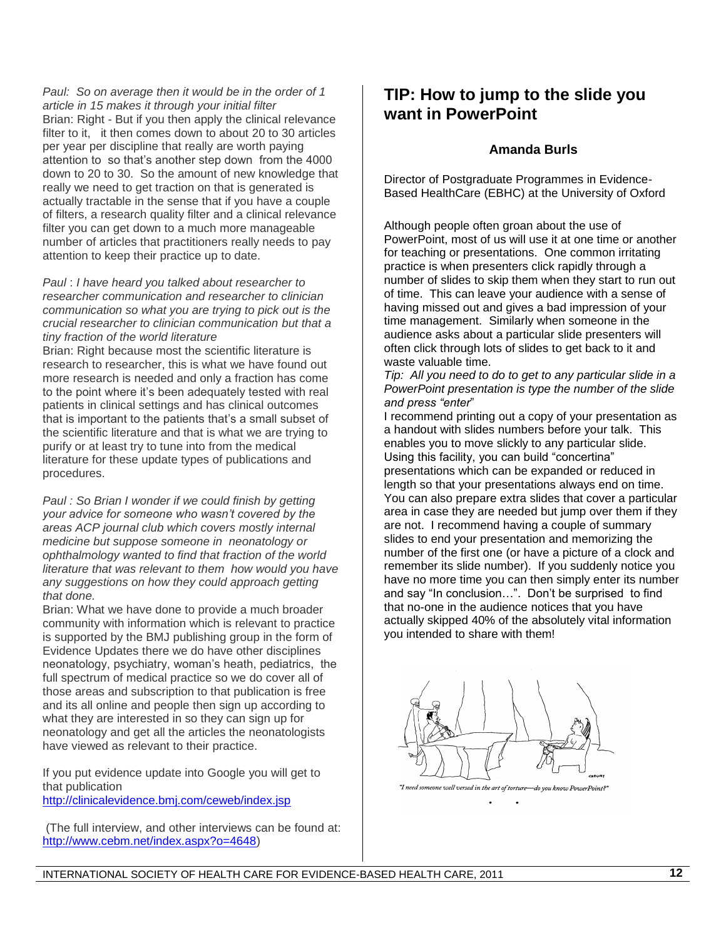*Paul: So on average then it would be in the order of 1 article in 15 makes it through your initial filter* Brian: Right - But if you then apply the clinical relevance filter to it, it then comes down to about 20 to 30 articles per year per discipline that really are worth paying attention to so that"s another step down from the 4000 down to 20 to 30. So the amount of new knowledge that really we need to get traction on that is generated is actually tractable in the sense that if you have a couple of filters, a research quality filter and a clinical relevance filter you can get down to a much more manageable number of articles that practitioners really needs to pay attention to keep their practice up to date.

#### *Paul* : *I have heard you talked about researcher to researcher communication and researcher to clinician communication so what you are trying to pick out is the crucial researcher to clinician communication but that a tiny fraction of the world literature*

Brian: Right because most the scientific literature is research to researcher, this is what we have found out more research is needed and only a fraction has come to the point where it"s been adequately tested with real patients in clinical settings and has clinical outcomes that is important to the patients that"s a small subset of the scientific literature and that is what we are trying to purify or at least try to tune into from the medical literature for these update types of publications and procedures.

*Paul : So Brian I wonder if we could finish by getting your advice for someone who wasn't covered by the areas ACP journal club which covers mostly internal medicine but suppose someone in neonatology or ophthalmology wanted to find that fraction of the world literature that was relevant to them how would you have any suggestions on how they could approach getting that done.*

Brian: What we have done to provide a much broader community with information which is relevant to practice is supported by the BMJ publishing group in the form of Evidence Updates there we do have other disciplines neonatology, psychiatry, woman"s heath, pediatrics, the full spectrum of medical practice so we do cover all of those areas and subscription to that publication is free and its all online and people then sign up according to what they are interested in so they can sign up for neonatology and get all the articles the neonatologists have viewed as relevant to their practice.

If you put evidence update into Google you will get to that publication <http://clinicalevidence.bmj.com/ceweb/index.jsp>

(The full interview, and other interviews can be found at: [http://www.cebm.net/index.aspx?o=4648\)](http://www.cebm.net/index.aspx?o=4648)

## **TIP: How to jump to the slide you want in PowerPoint**

#### **Amanda Burls**

Director of Postgraduate Programmes in Evidence-Based HealthCare (EBHC) at the University of Oxford

Although people often groan about the use of PowerPoint, most of us will use it at one time or another for teaching or presentations. One common irritating practice is when presenters click rapidly through a number of slides to skip them when they start to run out of time. This can leave your audience with a sense of having missed out and gives a bad impression of your time management. Similarly when someone in the audience asks about a particular slide presenters will often click through lots of slides to get back to it and waste valuable time.

#### *Tip: All you need to do to get to any particular slide in a PowerPoint presentation is type the number of the slide and press "enter*"

I recommend printing out a copy of your presentation as a handout with slides numbers before your talk. This enables you to move slickly to any particular slide. Using this facility, you can build "concertina" presentations which can be expanded or reduced in length so that your presentations always end on time. You can also prepare extra slides that cover a particular area in case they are needed but jump over them if they are not. I recommend having a couple of summary slides to end your presentation and memorizing the number of the first one (or have a picture of a clock and remember its slide number). If you suddenly notice you have no more time you can then simply enter its number and say "In conclusion…". Don"t be surprised to find that no-one in the audience notices that you have actually skipped 40% of the absolutely vital information you intended to share with them!



"I need someone well versed in the art of tortur do vou know PowerPoint?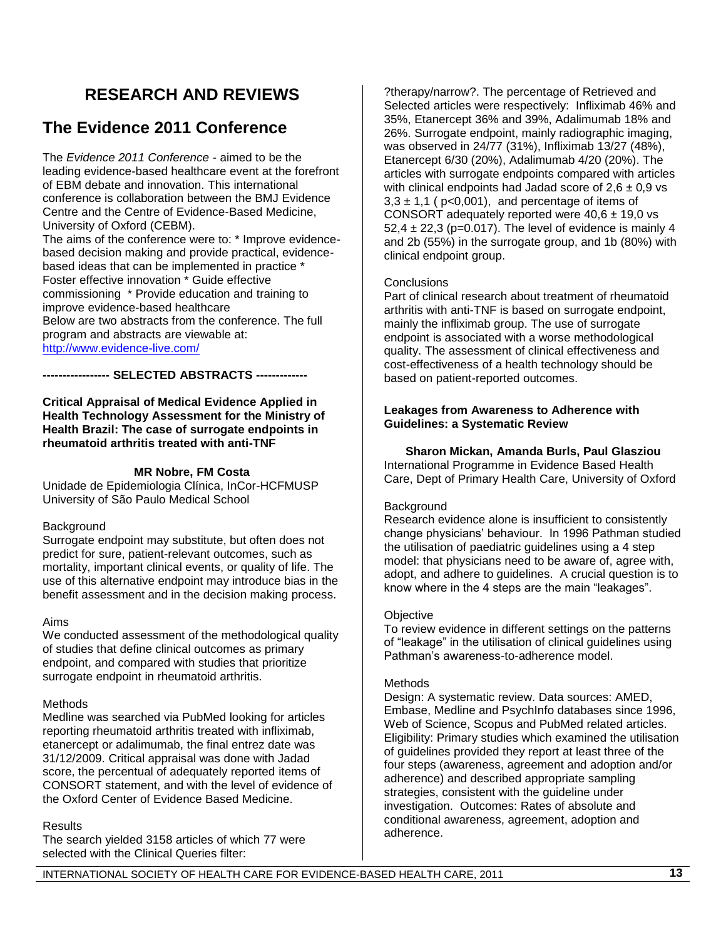## **RESEARCH AND REVIEWS**

## **The Evidence 2011 Conference**

The *Evidence 2011 Conference* - aimed to be the leading evidence-based healthcare event at the forefront of EBM debate and innovation. This international conference is collaboration between the BMJ Evidence Centre and the Centre of Evidence-Based Medicine, University of Oxford (CEBM).

The aims of the conference were to: \* Improve evidencebased decision making and provide practical, evidencebased ideas that can be implemented in practice \* Foster effective innovation \* Guide effective commissioning \* Provide education and training to improve evidence-based healthcare Below are two abstracts from the conference. The full program and abstracts are viewable at: <http://www.evidence-live.com/>

**----------------- SELECTED ABSTRACTS -------------**

**Critical Appraisal of Medical Evidence Applied in Health Technology Assessment for the Ministry of Health Brazil: The case of surrogate endpoints in rheumatoid arthritis treated with anti-TNF**

#### **MR Nobre, FM Costa**

Unidade de Epidemiologia Clínica, InCor-HCFMUSP University of São Paulo Medical School

#### Background

Surrogate endpoint may substitute, but often does not predict for sure, patient-relevant outcomes, such as mortality, important clinical events, or quality of life. The use of this alternative endpoint may introduce bias in the benefit assessment and in the decision making process.

#### Aims

We conducted assessment of the methodological quality of studies that define clinical outcomes as primary endpoint, and compared with studies that prioritize surrogate endpoint in rheumatoid arthritis.

#### **Methods**

Medline was searched via PubMed looking for articles reporting rheumatoid arthritis treated with infliximab, etanercept or adalimumab, the final entrez date was 31/12/2009. Critical appraisal was done with Jadad score, the percentual of adequately reported items of CONSORT statement, and with the level of evidence of the Oxford Center of Evidence Based Medicine.

#### **Results**

The search yielded 3158 articles of which 77 were selected with the Clinical Queries filter:

?therapy/narrow?. The percentage of Retrieved and Selected articles were respectively: Infliximab 46% and 35%, Etanercept 36% and 39%, Adalimumab 18% and 26%. Surrogate endpoint, mainly radiographic imaging, was observed in 24/77 (31%), Infliximab 13/27 (48%), Etanercept 6/30 (20%), Adalimumab 4/20 (20%). The articles with surrogate endpoints compared with articles with clinical endpoints had Jadad score of  $2.6 \pm 0.9$  vs  $3,3 \pm 1,1$  (  $p<0,001$ ), and percentage of items of CONSORT adequately reported were  $40,6 \pm 19,0$  vs 52,4  $\pm$  22,3 (p=0.017). The level of evidence is mainly 4 and 2b (55%) in the surrogate group, and 1b (80%) with clinical endpoint group.

#### **Conclusions**

Part of clinical research about treatment of rheumatoid arthritis with anti-TNF is based on surrogate endpoint, mainly the infliximab group. The use of surrogate endpoint is associated with a worse methodological quality. The assessment of clinical effectiveness and cost-effectiveness of a health technology should be based on patient-reported outcomes.

#### **Leakages from Awareness to Adherence with Guidelines: a Systematic Review**

**Sharon Mickan, Amanda Burls, Paul Glasziou** International Programme in Evidence Based Health Care, Dept of Primary Health Care, University of Oxford

#### **Background**

Research evidence alone is insufficient to consistently change physicians" behaviour. In 1996 Pathman studied the utilisation of paediatric guidelines using a 4 step model: that physicians need to be aware of, agree with, adopt, and adhere to guidelines. A crucial question is to know where in the 4 steps are the main "leakages".

#### **Objective**

To review evidence in different settings on the patterns of "leakage" in the utilisation of clinical guidelines using Pathman"s awareness-to-adherence model.

#### **Methods**

Design: A systematic review. Data sources: AMED, Embase, Medline and PsychInfo databases since 1996, Web of Science, Scopus and PubMed related articles. Eligibility: Primary studies which examined the utilisation of guidelines provided they report at least three of the four steps (awareness, agreement and adoption and/or adherence) and described appropriate sampling strategies, consistent with the guideline under investigation. Outcomes: Rates of absolute and conditional awareness, agreement, adoption and adherence.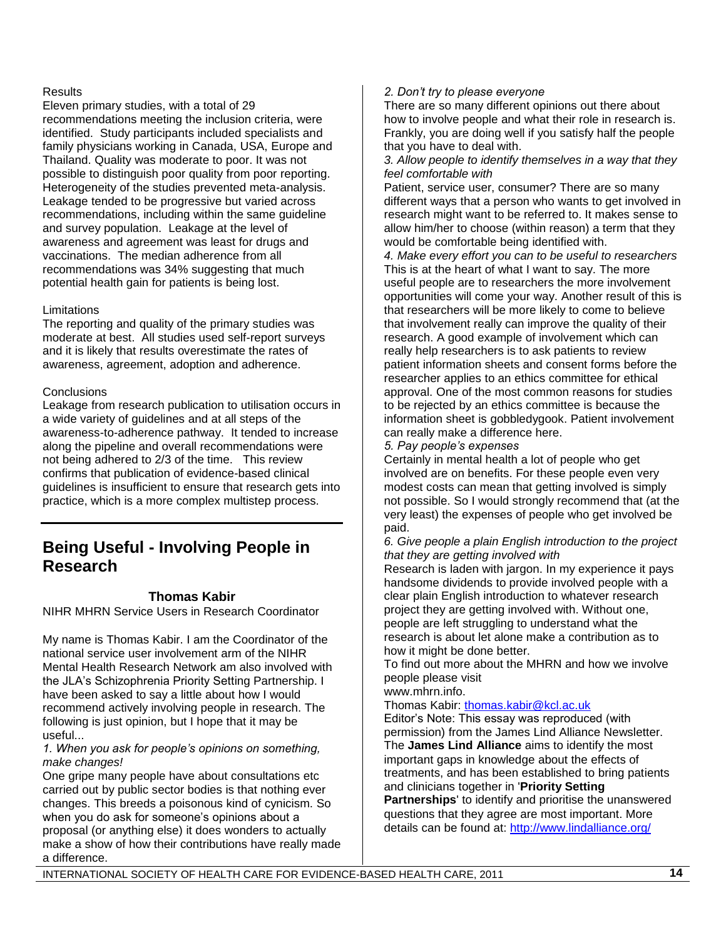#### **Results**

Eleven primary studies, with a total of 29 recommendations meeting the inclusion criteria, were identified. Study participants included specialists and family physicians working in Canada, USA, Europe and Thailand. Quality was moderate to poor. It was not possible to distinguish poor quality from poor reporting. Heterogeneity of the studies prevented meta-analysis. Leakage tended to be progressive but varied across recommendations, including within the same guideline and survey population. Leakage at the level of awareness and agreement was least for drugs and vaccinations. The median adherence from all recommendations was 34% suggesting that much potential health gain for patients is being lost.

#### Limitations

The reporting and quality of the primary studies was moderate at best. All studies used self-report surveys and it is likely that results overestimate the rates of awareness, agreement, adoption and adherence.

#### **Conclusions**

Leakage from research publication to utilisation occurs in a wide variety of guidelines and at all steps of the awareness-to-adherence pathway. It tended to increase along the pipeline and overall recommendations were not being adhered to 2/3 of the time. This review confirms that publication of evidence-based clinical guidelines is insufficient to ensure that research gets into practice, which is a more complex multistep process.

## **Being Useful - Involving People in Research**

#### **Thomas Kabir**

NIHR MHRN Service Users in Research Coordinator

My name is Thomas Kabir. I am the Coordinator of the national service user involvement arm of the NIHR Mental Health Research Network am also involved with the JLA"s Schizophrenia Priority Setting Partnership. I have been asked to say a little about how I would recommend actively involving people in research. The following is just opinion, but I hope that it may be useful...

*1. When you ask for people's opinions on something, make changes!*

One gripe many people have about consultations etc carried out by public sector bodies is that nothing ever changes. This breeds a poisonous kind of cynicism. So when you do ask for someone's opinions about a proposal (or anything else) it does wonders to actually make a show of how their contributions have really made a difference.

#### *2. Don't try to please everyone*

There are so many different opinions out there about how to involve people and what their role in research is. Frankly, you are doing well if you satisfy half the people that you have to deal with.

#### *3. Allow people to identify themselves in a way that they feel comfortable with*

Patient, service user, consumer? There are so many different ways that a person who wants to get involved in research might want to be referred to. It makes sense to allow him/her to choose (within reason) a term that they would be comfortable being identified with.

*4. Make every effort you can to be useful to researchers* This is at the heart of what I want to say. The more useful people are to researchers the more involvement opportunities will come your way. Another result of this is that researchers will be more likely to come to believe that involvement really can improve the quality of their research. A good example of involvement which can really help researchers is to ask patients to review patient information sheets and consent forms before the researcher applies to an ethics committee for ethical approval. One of the most common reasons for studies to be rejected by an ethics committee is because the information sheet is gobbledygook. Patient involvement can really make a difference here.

#### *5. Pay people's expenses*

Certainly in mental health a lot of people who get involved are on benefits. For these people even very modest costs can mean that getting involved is simply not possible. So I would strongly recommend that (at the very least) the expenses of people who get involved be paid.

#### *6. Give people a plain English introduction to the project that they are getting involved with*

Research is laden with jargon. In my experience it pays handsome dividends to provide involved people with a clear plain English introduction to whatever research project they are getting involved with. Without one, people are left struggling to understand what the research is about let alone make a contribution as to how it might be done better.

To find out more about the MHRN and how we involve people please visit

www.mhrn.info.

Thomas Kabir: [thomas.kabir@kcl.ac.uk](mailto:thomas.kabir@kcl.ac.uk)

Editor"s Note: This essay was reproduced (with permission) from the James Lind Alliance Newsletter. The **James Lind Alliance** aims to identify the most important gaps in knowledge about the effects of treatments, and has been established to bring patients and clinicians together in '**Priority Setting Partnerships**' to identify and prioritise the unanswered questions that they agree are most important. More details can be found at:<http://www.lindalliance.org/>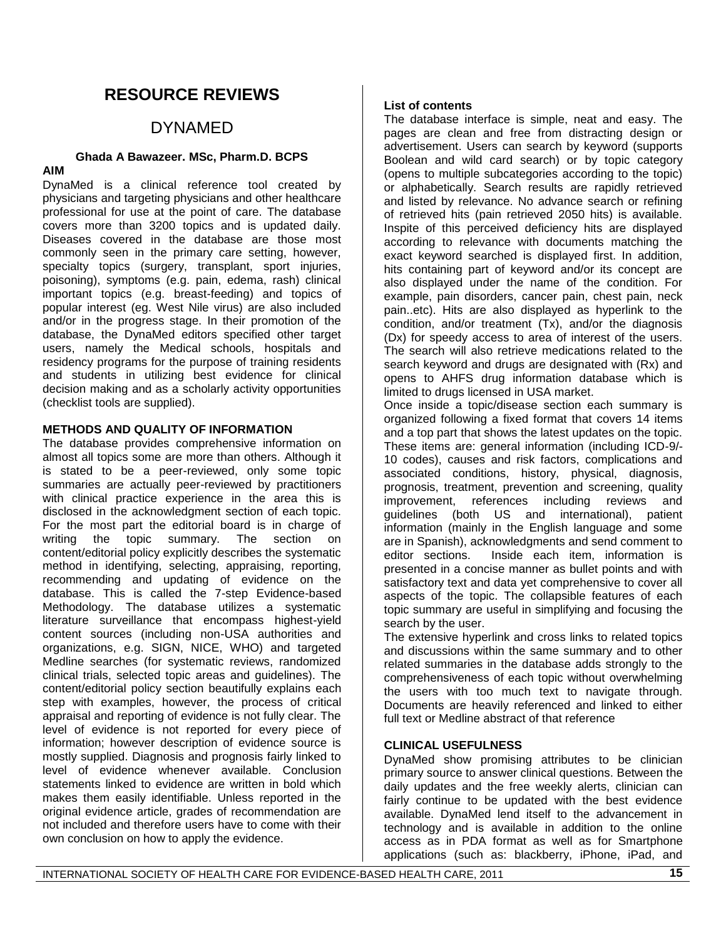## **RESOURCE REVIEWS**

### DYNAMED

#### **Ghada A Bawazeer. MSc, Pharm.D. BCPS**

#### **AIM**

DynaMed is a clinical reference tool created by physicians and targeting physicians and other healthcare professional for use at the point of care. The database covers more than 3200 topics and is updated daily. Diseases covered in the database are those most commonly seen in the primary care setting, however, specialty topics (surgery, transplant, sport injuries, poisoning), symptoms (e.g. pain, edema, rash) clinical important topics (e.g. breast-feeding) and topics of popular interest (eg. West Nile virus) are also included and/or in the progress stage. In their promotion of the database, the DynaMed editors specified other target users, namely the Medical schools, hospitals and residency programs for the purpose of training residents and students in utilizing best evidence for clinical decision making and as a scholarly activity opportunities (checklist tools are supplied).

#### **METHODS AND QUALITY OF INFORMATION**

The database provides comprehensive information on almost all topics some are more than others. Although it is stated to be a peer-reviewed, only some topic summaries are actually peer-reviewed by practitioners with clinical practice experience in the area this is disclosed in the acknowledgment section of each topic. For the most part the editorial board is in charge of writing the topic summary. The section on content/editorial policy explicitly describes the systematic method in identifying, selecting, appraising, reporting, recommending and updating of evidence on the database. This is called the 7-step Evidence-based Methodology. The database utilizes a systematic literature surveillance that encompass highest-yield content sources (including non-USA authorities and organizations, e.g. SIGN, NICE, WHO) and targeted Medline searches (for systematic reviews, randomized clinical trials, selected topic areas and guidelines). The content/editorial policy section beautifully explains each step with examples, however, the process of critical appraisal and reporting of evidence is not fully clear. The level of evidence is not reported for every piece of information; however description of evidence source is mostly supplied. Diagnosis and prognosis fairly linked to level of evidence whenever available. Conclusion statements linked to evidence are written in bold which makes them easily identifiable. Unless reported in the original evidence article, grades of recommendation are not included and therefore users have to come with their own conclusion on how to apply the evidence.

#### **List of contents**

The database interface is simple, neat and easy. The pages are clean and free from distracting design or advertisement. Users can search by keyword (supports Boolean and wild card search) or by topic category (opens to multiple subcategories according to the topic) or alphabetically. Search results are rapidly retrieved and listed by relevance. No advance search or refining of retrieved hits (pain retrieved 2050 hits) is available. Inspite of this perceived deficiency hits are displayed according to relevance with documents matching the exact keyword searched is displayed first. In addition, hits containing part of keyword and/or its concept are also displayed under the name of the condition. For example, pain disorders, cancer pain, chest pain, neck pain..etc). Hits are also displayed as hyperlink to the condition, and/or treatment (Tx), and/or the diagnosis (Dx) for speedy access to area of interest of the users. The search will also retrieve medications related to the search keyword and drugs are designated with (Rx) and opens to AHFS drug information database which is limited to drugs licensed in USA market.

Once inside a topic/disease section each summary is organized following a fixed format that covers 14 items and a top part that shows the latest updates on the topic. These items are: general information (including ICD-9/- 10 codes), causes and risk factors, complications and associated conditions, history, physical, diagnosis, prognosis, treatment, prevention and screening, quality improvement, references including reviews and guidelines (both US and international), patient information (mainly in the English language and some are in Spanish), acknowledgments and send comment to editor sections. Inside each item, information is presented in a concise manner as bullet points and with satisfactory text and data yet comprehensive to cover all aspects of the topic. The collapsible features of each topic summary are useful in simplifying and focusing the search by the user.

The extensive hyperlink and cross links to related topics and discussions within the same summary and to other related summaries in the database adds strongly to the comprehensiveness of each topic without overwhelming the users with too much text to navigate through. Documents are heavily referenced and linked to either full text or Medline abstract of that reference

#### **CLINICAL USEFULNESS**

DynaMed show promising attributes to be clinician primary source to answer clinical questions. Between the daily updates and the free weekly alerts, clinician can fairly continue to be updated with the best evidence available. DynaMed lend itself to the advancement in technology and is available in addition to the online access as in PDA format as well as for Smartphone applications (such as: blackberry, iPhone, iPad, and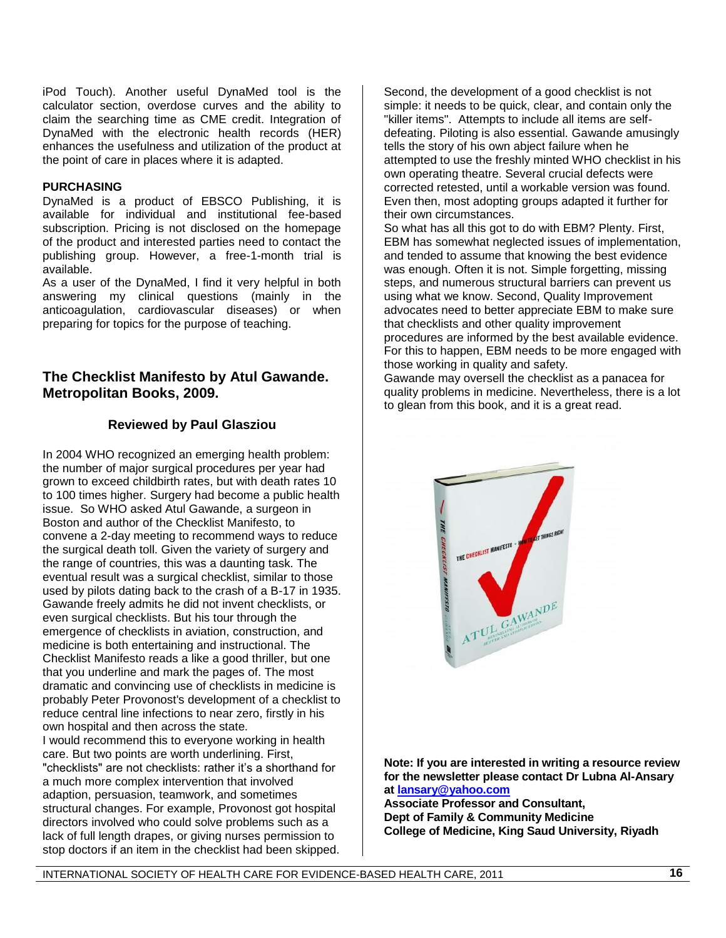iPod Touch). Another useful DynaMed tool is the calculator section, overdose curves and the ability to claim the searching time as CME credit. Integration of DynaMed with the electronic health records (HER) enhances the usefulness and utilization of the product at the point of care in places where it is adapted.

#### **PURCHASING**

DynaMed is a product of EBSCO Publishing, it is available for individual and institutional fee-based subscription. Pricing is not disclosed on the homepage of the product and interested parties need to contact the publishing group. However, a free-1-month trial is available.

As a user of the DynaMed, I find it very helpful in both answering my clinical questions (mainly in the anticoagulation, cardiovascular diseases) or when preparing for topics for the purpose of teaching.

### **The Checklist Manifesto by Atul Gawande. Metropolitan Books, 2009.**

#### **Reviewed by Paul Glasziou**

In 2004 WHO recognized an emerging health problem: the number of major surgical procedures per year had grown to exceed childbirth rates, but with death rates 10 to 100 times higher. Surgery had become a public health issue. So WHO asked Atul Gawande, a surgeon in Boston and author of the Checklist Manifesto, to convene a 2-day meeting to recommend ways to reduce the surgical death toll. Given the variety of surgery and the range of countries, this was a daunting task. The eventual result was a surgical checklist, similar to those used by pilots dating back to the crash of a B-17 in 1935. Gawande freely admits he did not invent checklists, or even surgical checklists. But his tour through the emergence of checklists in aviation, construction, and medicine is both entertaining and instructional. The Checklist Manifesto reads a like a good thriller, but one that you underline and mark the pages of. The most dramatic and convincing use of checklists in medicine is probably Peter Provonost's development of a checklist to reduce central line infections to near zero, firstly in his own hospital and then across the state. I would recommend this to everyone working in health care. But two points are worth underlining. First, "checklists" are not checklists: rather it's a shorthand for a much more complex intervention that involved adaption, persuasion, teamwork, and sometimes structural changes. For example, Provonost got hospital directors involved who could solve problems such as a lack of full length drapes, or giving nurses permission to stop doctors if an item in the checklist had been skipped.

Second, the development of a good checklist is not simple: it needs to be quick, clear, and contain only the "killer items". Attempts to include all items are selfdefeating. Piloting is also essential. Gawande amusingly tells the story of his own abject failure when he attempted to use the freshly minted WHO checklist in his own operating theatre. Several crucial defects were corrected retested, until a workable version was found. Even then, most adopting groups adapted it further for their own circumstances.

So what has all this got to do with EBM? Plenty. First, EBM has somewhat neglected issues of implementation, and tended to assume that knowing the best evidence was enough. Often it is not. Simple forgetting, missing steps, and numerous structural barriers can prevent us using what we know. Second, Quality Improvement advocates need to better appreciate EBM to make sure that checklists and other quality improvement procedures are informed by the best available evidence. For this to happen, EBM needs to be more engaged with those working in quality and safety.

Gawande may oversell the checklist as a panacea for quality problems in medicine. Nevertheless, there is a lot to glean from this book, and it is a great read.



**Note: If you are interested in writing a resource review for the newsletter please contact Dr Lubna Al-Ansary at [lansary@yahoo.com](mailto:lansary@yahoo.com)**

**Associate Professor and Consultant, Dept of Family & Community Medicine College of Medicine, King Saud University, Riyadh**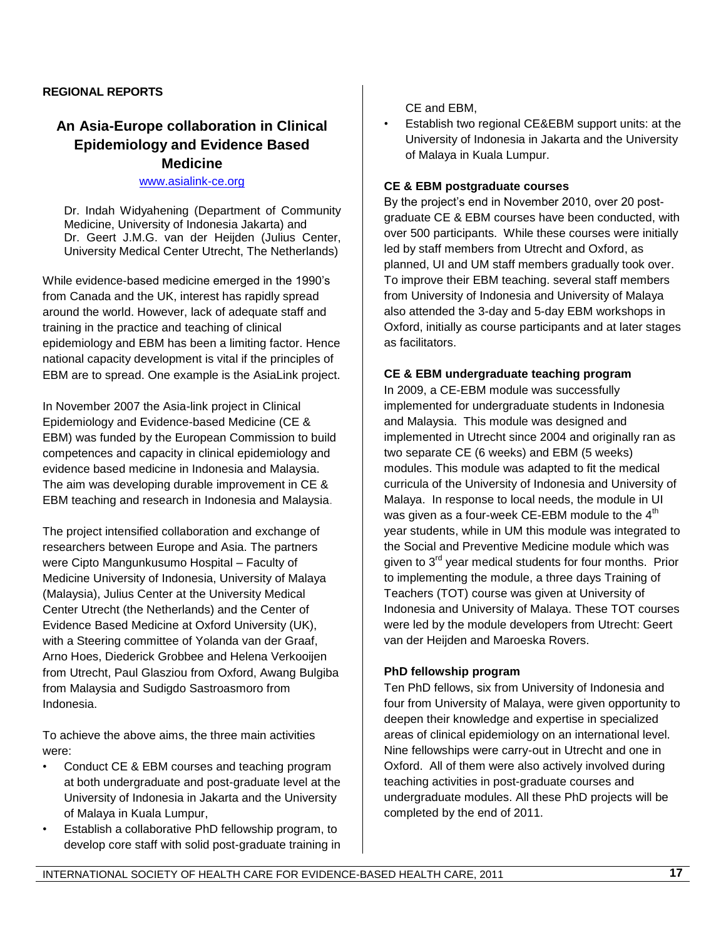### **An Asia-Europe collaboration in Clinical Epidemiology and Evidence Based Medicine**

#### [www.asialink-ce.org](http://www.asialink-ce.org/)

Dr. Indah Widyahening (Department of Community Medicine, University of Indonesia Jakarta) and Dr. Geert J.M.G. van der Heijden (Julius Center, University Medical Center Utrecht, The Netherlands)

While evidence-based medicine emerged in the 1990"s from Canada and the UK, interest has rapidly spread around the world. However, lack of adequate staff and training in the practice and teaching of clinical epidemiology and EBM has been a limiting factor. Hence national capacity development is vital if the principles of EBM are to spread. One example is the AsiaLink project.

In November 2007 the Asia-link project in Clinical Epidemiology and Evidence-based Medicine (CE & EBM) was funded by the European Commission to build competences and capacity in clinical epidemiology and evidence based medicine in Indonesia and Malaysia. The aim was developing durable improvement in CE & EBM teaching and research in Indonesia and Malaysia.

The project intensified collaboration and exchange of researchers between Europe and Asia. The partners were Cipto Mangunkusumo Hospital – Faculty of Medicine University of Indonesia, University of Malaya (Malaysia), Julius Center at the University Medical Center Utrecht (the Netherlands) and the Center of Evidence Based Medicine at Oxford University (UK), with a Steering committee of Yolanda van der Graaf, Arno Hoes, Diederick Grobbee and Helena Verkooijen from Utrecht, Paul Glasziou from Oxford, Awang Bulgiba from Malaysia and Sudigdo Sastroasmoro from Indonesia.

To achieve the above aims, the three main activities were:

- Conduct CE & EBM courses and teaching program at both undergraduate and post-graduate level at the University of Indonesia in Jakarta and the University of Malaya in Kuala Lumpur,
- Establish a collaborative PhD fellowship program, to develop core staff with solid post-graduate training in

CE and EBM,

• Establish two regional CE&EBM support units: at the University of Indonesia in Jakarta and the University of Malaya in Kuala Lumpur.

#### **CE & EBM postgraduate courses**

By the project"s end in November 2010, over 20 postgraduate CE & EBM courses have been conducted, with over 500 participants. While these courses were initially led by staff members from Utrecht and Oxford, as planned, UI and UM staff members gradually took over. To improve their EBM teaching. several staff members from University of Indonesia and University of Malaya also attended the 3-day and 5-day EBM workshops in Oxford, initially as course participants and at later stages as facilitators.

#### **CE & EBM undergraduate teaching program**

In 2009, a CE-EBM module was successfully implemented for undergraduate students in Indonesia and Malaysia. This module was designed and implemented in Utrecht since 2004 and originally ran as two separate CE (6 weeks) and EBM (5 weeks) modules. This module was adapted to fit the medical curricula of the University of Indonesia and University of Malaya. In response to local needs, the module in UI was given as a four-week CE-EBM module to the  $4<sup>th</sup>$ year students, while in UM this module was integrated to the Social and Preventive Medicine module which was given to 3<sup>rd</sup> year medical students for four months. Prior to implementing the module, a three days Training of Teachers (TOT) course was given at University of Indonesia and University of Malaya. These TOT courses were led by the module developers from Utrecht: Geert van der Heijden and Maroeska Rovers.

#### **PhD fellowship program**

Ten PhD fellows, six from University of Indonesia and four from University of Malaya, were given opportunity to deepen their knowledge and expertise in specialized areas of clinical epidemiology on an international level. Nine fellowships were carry-out in Utrecht and one in Oxford. All of them were also actively involved during teaching activities in post-graduate courses and undergraduate modules. All these PhD projects will be completed by the end of 2011.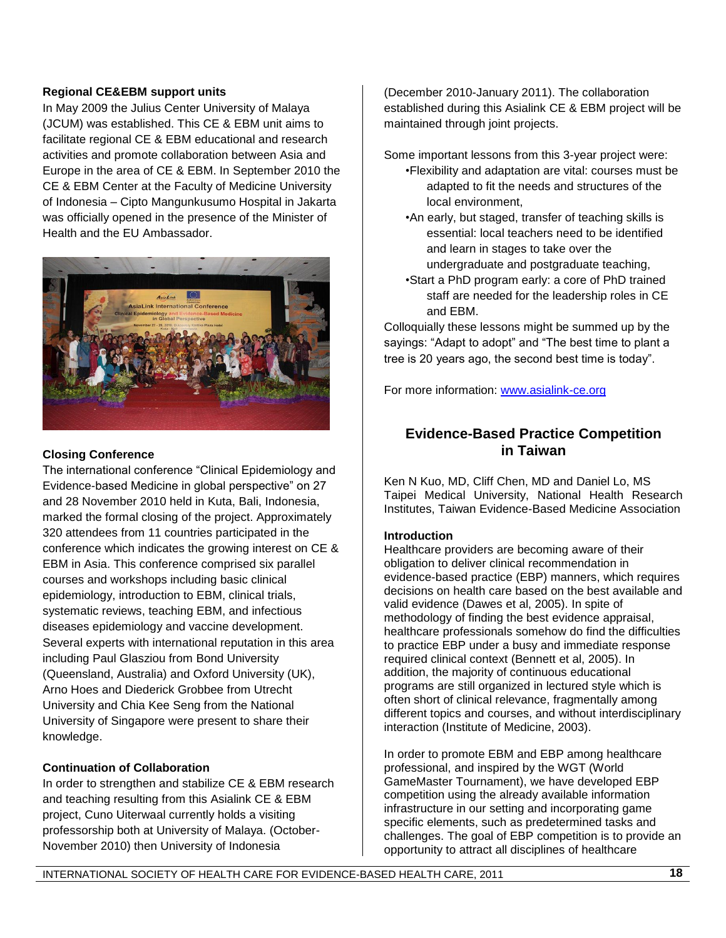#### **Regional CE&EBM support units**

In May 2009 the Julius Center University of Malaya (JCUM) was established. This CE & EBM unit aims to facilitate regional CE & EBM educational and research activities and promote collaboration between Asia and Europe in the area of CE & EBM. In September 2010 the CE & EBM Center at the Faculty of Medicine University of Indonesia – Cipto Mangunkusumo Hospital in Jakarta was officially opened in the presence of the Minister of Health and the EU Ambassador.



#### **Closing Conference**

The international conference "Clinical Epidemiology and Evidence-based Medicine in global perspective" on 27 and 28 November 2010 held in Kuta, Bali, Indonesia, marked the formal closing of the project. Approximately 320 attendees from 11 countries participated in the conference which indicates the growing interest on CE & EBM in Asia. This conference comprised six parallel courses and workshops including basic clinical epidemiology, introduction to EBM, clinical trials, systematic reviews, teaching EBM, and infectious diseases epidemiology and vaccine development. Several experts with international reputation in this area including Paul Glasziou from Bond University (Queensland, Australia) and Oxford University (UK), Arno Hoes and Diederick Grobbee from Utrecht University and Chia Kee Seng from the National University of Singapore were present to share their knowledge.

#### **Continuation of Collaboration**

In order to strengthen and stabilize CE & EBM research and teaching resulting from this Asialink CE & EBM project, Cuno Uiterwaal currently holds a visiting professorship both at University of Malaya. (October-November 2010) then University of Indonesia

(December 2010-January 2011). The collaboration established during this Asialink CE & EBM project will be maintained through joint projects.

Some important lessons from this 3-year project were:

- •Flexibility and adaptation are vital: courses must be adapted to fit the needs and structures of the local environment,
- •An early, but staged, transfer of teaching skills is essential: local teachers need to be identified and learn in stages to take over the undergraduate and postgraduate teaching,
- •Start a PhD program early: a core of PhD trained staff are needed for the leadership roles in CE and EBM.

Colloquially these lessons might be summed up by the sayings: "Adapt to adopt" and "The best time to plant a tree is 20 years ago, the second best time is today".

For more information: [www.asialink-ce.org](http://www.asialink-ce.org/)

### **Evidence-Based Practice Competition in Taiwan**

Ken N Kuo, MD, Cliff Chen, MD and Daniel Lo, MS Taipei Medical University, National Health Research Institutes, Taiwan Evidence-Based Medicine Association

#### **Introduction**

Healthcare providers are becoming aware of their obligation to deliver clinical recommendation in evidence-based practice (EBP) manners, which requires decisions on health care based on the best available and valid evidence (Dawes et al, 2005). In spite of methodology of finding the best evidence appraisal, healthcare professionals somehow do find the difficulties to practice EBP under a busy and immediate response required clinical context (Bennett et al, 2005). In addition, the majority of continuous educational programs are still organized in lectured style which is often short of clinical relevance, fragmentally among different topics and courses, and without interdisciplinary interaction (Institute of Medicine, 2003).

In order to promote EBM and EBP among healthcare professional, and inspired by the WGT (World GameMaster Tournament), we have developed EBP competition using the already available information infrastructure in our setting and incorporating game specific elements, such as predetermined tasks and challenges. The goal of EBP competition is to provide an opportunity to attract all disciplines of healthcare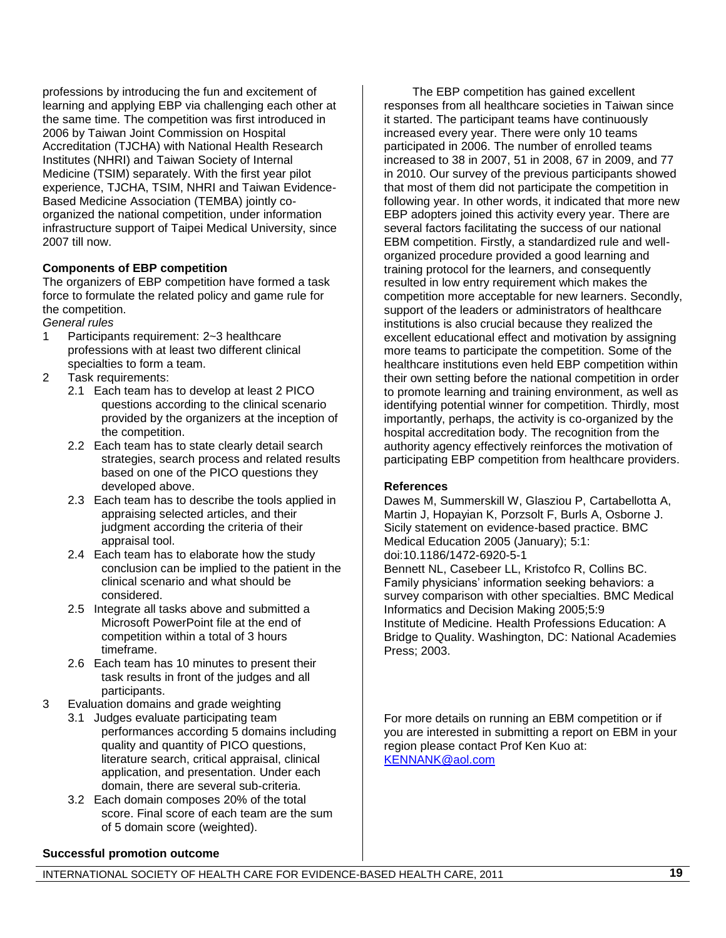professions by introducing the fun and excitement of learning and applying EBP via challenging each other at the same time. The competition was first introduced in 2006 by Taiwan Joint Commission on Hospital Accreditation (TJCHA) with National Health Research Institutes (NHRI) and Taiwan Society of Internal Medicine (TSIM) separately. With the first year pilot experience, TJCHA, TSIM, NHRI and Taiwan Evidence-Based Medicine Association (TEMBA) jointly coorganized the national competition, under information infrastructure support of Taipei Medical University, since 2007 till now.

#### **Components of EBP competition**

The organizers of EBP competition have formed a task force to formulate the related policy and game rule for the competition.

*General rules*

- 1 Participants requirement: 2~3 healthcare professions with at least two different clinical specialties to form a team.
- 2 Task requirements:
	- 2.1 Each team has to develop at least 2 PICO questions according to the clinical scenario provided by the organizers at the inception of the competition.
	- 2.2 Each team has to state clearly detail search strategies, search process and related results based on one of the PICO questions they developed above.
	- 2.3 Each team has to describe the tools applied in appraising selected articles, and their judgment according the criteria of their appraisal tool.
	- 2.4 Each team has to elaborate how the study conclusion can be implied to the patient in the clinical scenario and what should be considered.
	- 2.5 Integrate all tasks above and submitted a Microsoft PowerPoint file at the end of competition within a total of 3 hours timeframe.
	- 2.6 Each team has 10 minutes to present their task results in front of the judges and all participants.
- 3 Evaluation domains and grade weighting
	- 3.1 Judges evaluate participating team performances according 5 domains including quality and quantity of PICO questions, literature search, critical appraisal, clinical application, and presentation. Under each domain, there are several sub-criteria.
	- 3.2 Each domain composes 20% of the total score. Final score of each team are the sum of 5 domain score (weighted).

#### The EBP competition has gained excellent responses from all healthcare societies in Taiwan since it started. The participant teams have continuously increased every year. There were only 10 teams participated in 2006. The number of enrolled teams increased to 38 in 2007, 51 in 2008, 67 in 2009, and 77 in 2010. Our survey of the previous participants showed that most of them did not participate the competition in following year. In other words, it indicated that more new EBP adopters joined this activity every year. There are several factors facilitating the success of our national EBM competition. Firstly, a standardized rule and wellorganized procedure provided a good learning and training protocol for the learners, and consequently resulted in low entry requirement which makes the competition more acceptable for new learners. Secondly, support of the leaders or administrators of healthcare institutions is also crucial because they realized the excellent educational effect and motivation by assigning more teams to participate the competition. Some of the healthcare institutions even held EBP competition within their own setting before the national competition in order to promote learning and training environment, as well as identifying potential winner for competition. Thirdly, most importantly, perhaps, the activity is co-organized by the hospital accreditation body. The recognition from the authority agency effectively reinforces the motivation of participating EBP competition from healthcare providers.

#### **References**

Dawes M, Summerskill W, Glasziou P, Cartabellotta A, Martin J, Hopayian K, Porzsolt F, Burls A, Osborne J. Sicily statement on evidence-based practice. BMC Medical Education 2005 (January); 5:1: doi:10.1186/1472-6920-5-1 Bennett NL, Casebeer LL, Kristofco R, Collins BC. Family physicians" information seeking behaviors: a survey comparison with other specialties. BMC Medical Informatics and Decision Making 2005;5:9 Institute of Medicine. Health Professions Education: A Bridge to Quality. Washington, DC: National Academies Press; 2003.

For more details on running an EBM competition or if you are interested in submitting a report on EBM in your region please contact Prof Ken Kuo at: [KENNANK@aol.com](mailto:KENNANK@aol.com)

#### **Successful promotion outcome**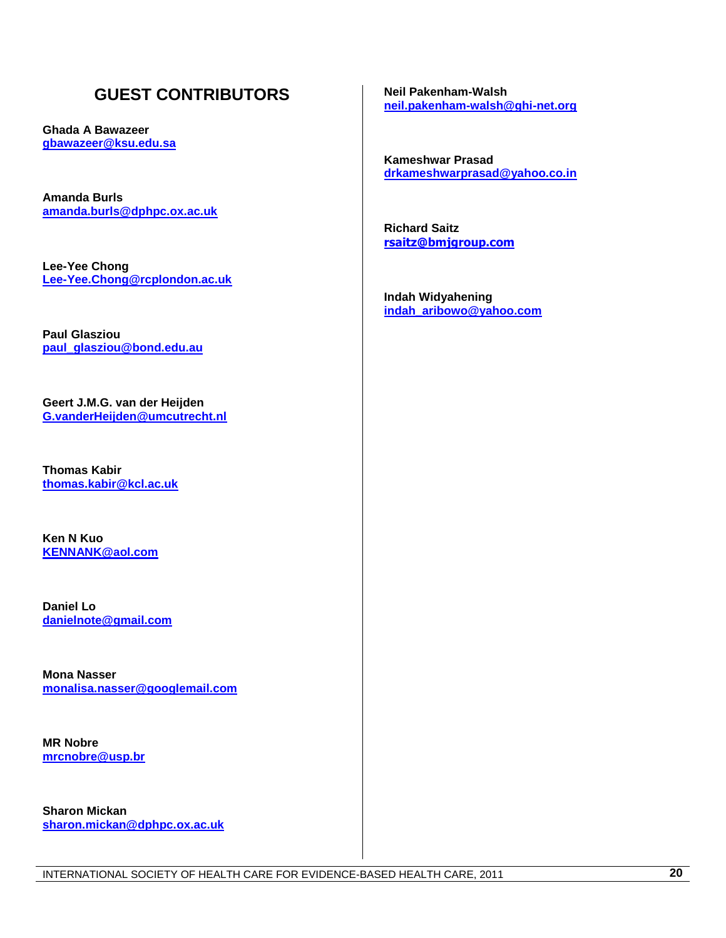## **GUEST CONTRIBUTORS**

**Ghada A Bawazeer [gbawazeer@ksu.edu.sa](mailto:gbawazeer@ksu.edu.sa)**

**Amanda Burls [amanda.burls@dphpc.ox.ac.uk](mailto:amanda.burls@dphpc.ox.ac.uk)**

**Lee-Yee Chong [Lee-Yee.Chong@rcplondon.ac.uk](mailto:Lee-Yee.Chong@rcplondon.ac.uk)**

**Paul Glasziou [paul\\_glasziou@bond.edu.au](mailto:paul_glasziou@bond.edu.au)**

**Geert J.M.G. van der Heijden [G.vanderHeijden@umcutrecht.nl](mailto:G.vanderHeijden@umcutrecht.nl)**

**Thomas Kabir [thomas.kabir@kcl.ac.uk](mailto:thomas.kabir@kcl.ac.uk)**

**Ken N Kuo [KENNANK@aol.com](mailto:KENNANK@aol.com)**

**Daniel Lo [danielnote@gmail.com](mailto:danielnote@gmail.com)**

**Mona Nasser [monalisa.nasser@googlemail.com](mailto:monalisa.nasser@googlemail.com)**

**MR Nobre [mrcnobre@usp.br](mailto:mrcnobre@usp.br)**

**Sharon Mickan [sharon.mickan@dphpc.ox.ac.uk](mailto:sharon.mickan@dphpc.ox.ac.uk)** **Neil Pakenham-Walsh [neil.pakenham-walsh@ghi-net.org](mailto:neil.pakenham-walsh@ghi-net.org)**

**Kameshwar Prasad [drkameshwarprasad@yahoo.co.in](mailto:drkameshwarprasad@yahoo.co.in)**

**Richard Saitz [rsaitz@bmjgroup.com](mailto:rsaitz@bmjgroup.com)**

**Indah Widyahening [indah\\_aribowo@yahoo.com](mailto:indah_aribowo@yahoo.com)**

INTERNATIONAL SOCIETY OF HEALTH CARE FOR EVIDENCE-BASED HEALTH CARE, 2011 **20**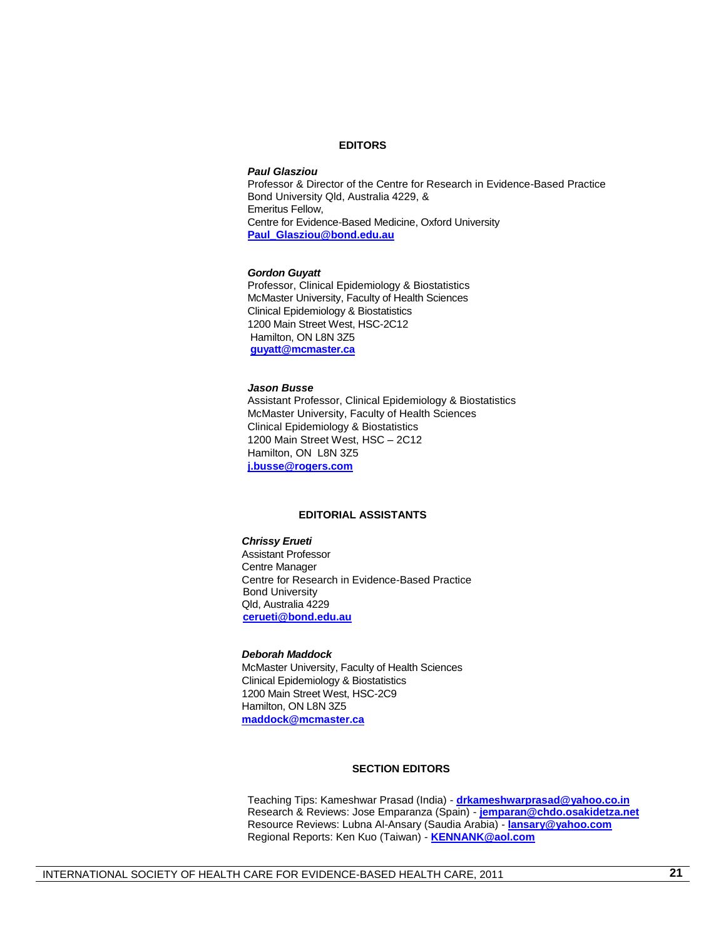#### **EDITORS**

#### *Paul Glasziou*

Professor & Director of the Centre for Research in Evidence-Based Practice Bond University Qld, Australia 4229, & Emeritus Fellow, Centre for Evidence-Based Medicine, Oxford University **[Paul\\_Glasziou@bond.edu.au](mailto:Paul_Glasziou@bond.edu.au)**

#### *Gordon Guyatt*

Professor, Clinical Epidemiology & Biostatistics McMaster University, Faculty of Health Sciences Clinical Epidemiology & Biostatistics 1200 Main Street West, HSC-2C12 Hamilton, ON L8N 3Z5 **[guyatt@mcmaster.ca](mailto:guyatt@mcmaster.ca)**

#### *Jason Busse*

Assistant Professor, Clinical Epidemiology & Biostatistics McMaster University, Faculty of Health Sciences Clinical Epidemiology & Biostatistics 1200 Main Street West, HSC – 2C12 Hamilton, ON L8N 3Z5 **[j.busse@rogers.com](mailto:j.busse@rogers.com)**

#### **EDITORIAL ASSISTANTS**

#### *Chrissy Erueti*

Assistant Professor Centre Manager Centre for Research in Evidence-Based Practice Bond University Qld, Australia 4229 **[cerueti@bond.edu.au](mailto:cerueti@bond.edu.au)**

#### *Deborah Maddock*

McMaster University, Faculty of Health Sciences Clinical Epidemiology & Biostatistics 1200 Main Street West, HSC-2C9 Hamilton, ON L8N 3Z5 **[maddock@mcmaster.ca](mailto:maddock@mcmaster.ca)**

#### **SECTION EDITORS**

Teaching Tips: Kameshwar Prasad (India) - **[drkameshwarprasad@yahoo.co.in](mailto:drkameshwarprasad@yahoo.co.in)** Research & Reviews: Jose Emparanza (Spain) - **[jemparan@chdo.osakidetza.net](mailto:jemparan@chdo.osakidetza.net)** Resource Reviews: Lubna Al-Ansary (Saudia Arabia) - **[lansary@yahoo.com](mailto:lansary@yahoo.com)** Regional Reports: Ken Kuo (Taiwan) - **[KENNANK@aol.com](mailto:KENNANK@aol.com)**